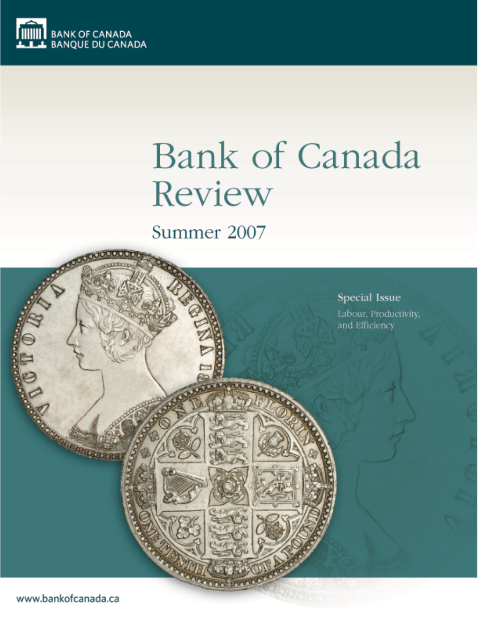

# Bank of Canada Review

# Summer 2007

Special Issue Labour, Productivity, and Efficiency

www.bankofcanada.ca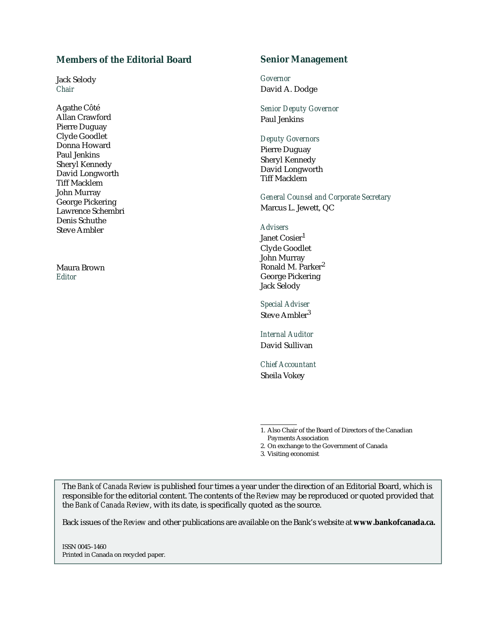# **Members of the Editorial Board**

Jack Selody *Chair*

Agathe Côté Allan Crawford Pierre Duguay Clyde Goodlet Donna Howard Paul Jenkins Sheryl Kennedy David Longworth Tiff Macklem John Murray George Pickering Lawrence Schembri Denis Schuthe Steve Ambler

Maura Brown *Editor*

## **Senior Management**

*Governor* David A. Dodge

*Senior Deputy Governor* Paul Jenkins

## *Deputy Governors*

Pierre Duguay Sheryl Kennedy David Longworth Tiff Macklem

*General Counsel and Corporate Secretary* Marcus L. Jewett, QC

### *Advisers*

Janet Cosier<sup>1</sup> Clyde Goodlet John Murray Ronald M. Parker<sup>2</sup> George Pickering Jack Selody

*Special Adviser* Steve Ambler<sup>3</sup>

*Internal Auditor* David Sullivan

*Chief Accountant* Sheila Vokey

1. Also Chair of the Board of Directors of the Canadian Payments Association

2. On exchange to the Government of Canada

3. Visiting economist

The *Bank of Canada Review* is published four times a year under the direction of an Editorial Board, which is responsible for the editorial content. The contents of the *Review* may be reproduced or quoted provided that the *Bank of Canada Review*, with its date, is specifically quoted as the source.

Back issues of the *Review* and other publications are available on the Bank's website at **www.bankofcanada.ca.**

ISSN 0045–1460 Printed in Canada on recycled paper.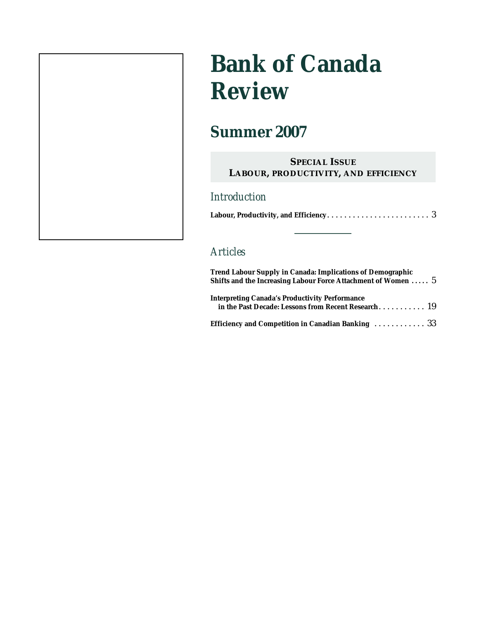# **Bank of Canada Review**

# **Summer 2007**

# **SPECIAL ISSUE LABOUR, PRODUCTIVITY, AND EFFICIENCY**

# *Introduction*

|--|--|

# *Articles*

| <b>Trend Labour Supply in Canada: Implications of Demographic</b><br>Shifts and the Increasing Labour Force Attachment of Women $5$ |  |  |  |
|-------------------------------------------------------------------------------------------------------------------------------------|--|--|--|
| <b>Interpreting Canada's Productivity Performance</b><br>in the Past Decade: Lessons from Recent Research 19                        |  |  |  |
| Efficiency and Competition in Canadian Banking $\ldots \ldots \ldots \ldots$ 33                                                     |  |  |  |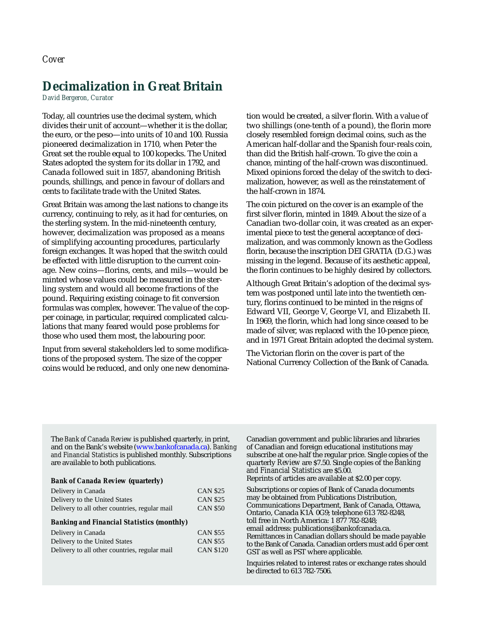# **Decimalization in Great Britain**

*David Bergeron, Curator*

Today, all countries use the decimal system, which divides their unit of account—whether it is the dollar, the euro, or the peso—into units of 10 and 100. Russia pioneered decimalization in 1710, when Peter the Great set the rouble equal to 100 kopecks. The United States adopted the system for its dollar in 1792, and Canada followed suit in 1857, abandoning British pounds, shillings, and pence in favour of dollars and cents to facilitate trade with the United States.

Great Britain was among the last nations to change its currency, continuing to rely, as it had for centuries, on the sterling system. In the mid-nineteenth century, however, decimalization was proposed as a means of simplifying accounting procedures, particularly foreign exchanges. It was hoped that the switch could be effected with little disruption to the current coinage. New coins—florins, cents, and mils—would be minted whose values could be measured in the sterling system and would all become fractions of the pound. Requiring existing coinage to fit conversion formulas was complex, however. The value of the copper coinage, in particular, required complicated calculations that many feared would pose problems for those who used them most, the labouring poor.

Input from several stakeholders led to some modifications of the proposed system. The size of the copper coins would be reduced, and only one new denomination would be created, a silver florin. With a value of two shillings (one-tenth of a pound), the florin more closely resembled foreign decimal coins, such as the American half-dollar and the Spanish four-reals coin, than did the British half-crown. To give the coin a chance, minting of the half-crown was discontinued. Mixed opinions forced the delay of the switch to decimalization, however, as well as the reinstatement of the half-crown in 1874.

The coin pictured on the cover is an example of the first silver florin, minted in 1849. About the size of a Canadian two-dollar coin, it was created as an experimental piece to test the general acceptance of decimalization, and was commonly known as the Godless florin, because the inscription DEI GRATIA (D.G.) was missing in the legend. Because of its aesthetic appeal, the florin continues to be highly desired by collectors.

Although Great Britain's adoption of the decimal system was postponed until late into the twentieth century, florins continued to be minted in the reigns of Edward VII, George V, George VI, and Elizabeth II. In 1969, the florin, which had long since ceased to be made of silver, was replaced with the 10-pence piece, and in 1971 Great Britain adopted the decimal system.

The Victorian florin on the cover is part of the National Currency Collection of the Bank of Canada.

The *Bank of Canada Review* is published quarterly, in print, and on the Bank's website [\(www.bankofcanada.ca\)](http://www.bankofcanada.ca). *Banking and Financial Statistics* is published monthly. Subscriptions are available to both publications.

#### *Bank of Canada Review* **(quarterly)**

| Delivery in Canada                            | <b>CAN \$25</b> |
|-----------------------------------------------|-----------------|
| Delivery to the United States                 | <b>CAN \$25</b> |
| Delivery to all other countries, regular mail | <b>CAN \$50</b> |

#### *Banking and Financial Statistics* **(monthly***)*

| Delivery in Canada                            | <b>CAN \$55</b>  |
|-----------------------------------------------|------------------|
| Delivery to the United States                 | <b>CAN \$55</b>  |
| Delivery to all other countries, regular mail | <b>CAN \$120</b> |

Canadian government and public libraries and libraries of Canadian and foreign educational institutions may subscribe at one-half the regular price. Single copies of the quarterly *Review* are \$7.50. Single copies of the *Banking and Financial Statistics* are \$5.00. Reprints of articles are available at \$2.00 per copy.

Subscriptions or copies of Bank of Canada documents may be obtained from Publications Distribution, Communications Department, Bank of Canada, Ottawa, Ontario, Canada K1A 0G9; telephone 613 782-8248, toll free in North America: 1 877 782-8248; email address: publications@bankofcanada.ca. Remittances in Canadian dollars should be made payable to the Bank of Canada. Canadian orders must add 6 per cent GST as well as PST where applicable.

Inquiries related to interest rates or exchange rates should be directed to 613 782-7506.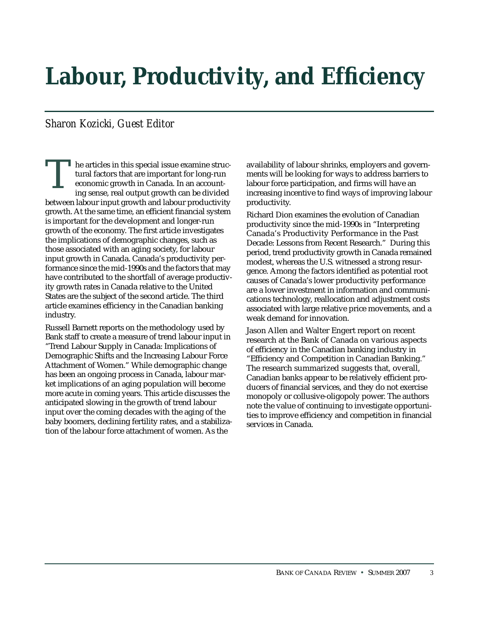# <span id="page-4-0"></span>**Labour, Productivity, and Efficiency**

# *Sharon Kozicki, Guest Editor*

he articles in this special issue examine structural factors that are important for long-run economic growth in Canada. In an accounting sense, real output growth can be divided between labour input growth and labour productivity growth. At the same time, an efficient financial system is important for the development and longer-run growth of the economy. The first article investigates the implications of demographic changes, such as those associated with an aging society, for labour input growth in Canada. Canada's productivity performance since the mid-1990s and the factors that may have contributed to the shortfall of average productivity growth rates in Canada relative to the United States are the subject of the second article. The third article examines efficiency in the Canadian banking industry. T

Russell Barnett reports on the methodology used by Bank staff to create a measure of trend labour input in "Trend Labour Supply in Canada: Implications of Demographic Shifts and the Increasing Labour Force Attachment of Women." While demographic change has been an ongoing process in Canada, labour market implications of an aging population will become more acute in coming years. This article discusses the anticipated slowing in the growth of trend labour input over the coming decades with the aging of the baby boomers, declining fertility rates, and a stabilization of the labour force attachment of women. As the

availability of labour shrinks, employers and governments will be looking for ways to address barriers to labour force participation, and firms will have an increasing incentive to find ways of improving labour productivity.

Richard Dion examines the evolution of Canadian productivity since the mid-1990s in "Interpreting Canada's Productivity Performance in the Past Decade: Lessons from Recent Research." During this period, trend productivity growth in Canada remained modest, whereas the U.S. witnessed a strong resurgence. Among the factors identified as potential root causes of Canada's lower productivity performance are a lower investment in information and communications technology, reallocation and adjustment costs associated with large relative price movements, and a weak demand for innovation.

Jason Allen and Walter Engert report on recent research at the Bank of Canada on various aspects of efficiency in the Canadian banking industry in "Efficiency and Competition in Canadian Banking." The research summarized suggests that, overall, Canadian banks appear to be relatively efficient producers of financial services, and they do not exercise monopoly or collusive-oligopoly power. The authors note the value of continuing to investigate opportunities to improve efficiency and competition in financial services in Canada.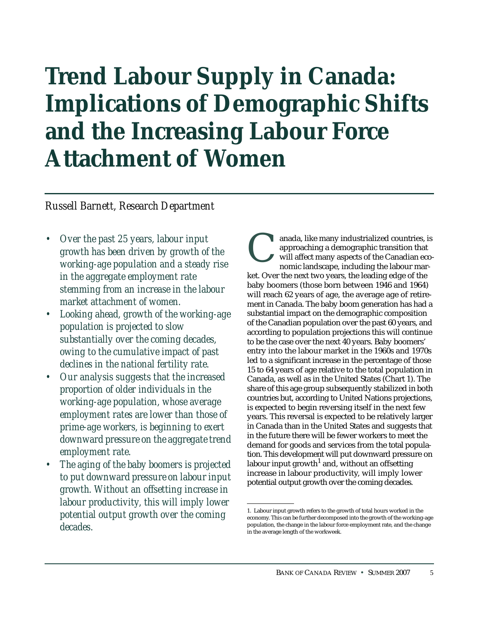# <span id="page-6-0"></span>**Trend Labour Supply in Canada: Implications of Demographic Shifts and the Increasing Labour Force Attachment of Women**

# *Russell Barnett, Research Department*

- *Over the past 25 years, labour input growth has been driven by growth of the working-age population and a steady rise in the aggregate employment rate stemming from an increase in the labour market attachment of women.*
- *Looking ahead, growth of the working-age population is projected to slow substantially over the coming decades, owing to the cumulative impact of past declines in the national fertility rate.*
- *Our analysis suggests that the increased proportion of older individuals in the working-age population, whose average employment rates are lower than those of prime-age workers, is beginning to exert downward pressure on the aggregate trend employment rate.*
- *The aging of the baby boomers is projected to put downward pressure on labour input growth. Without an offsetting increase in labour productivity, this will imply lower potential output growth over the coming decades.*

anada, like many industrialized countries, is approaching a demographic transition that will affect many aspects of the Canadian economic landscape, including the labour market. Over the next two years, the leading edge of the baby boomers (those born between 1946 and 1964) will reach 62 years of age, the average age of retirement in Canada. The baby boom generation has had a substantial impact on the demographic composition of the Canadian population over the past 60 years, and according to population projections this will continue to be the case over the next 40 years. Baby boomers' entry into the labour market in the 1960s and 1970s led to a significant increase in the percentage of those 15 to 64 years of age relative to the total population in Canada, as well as in the United States (Chart 1). The share of this age group subsequently stabilized in both countries but, according to United Nations projections, is expected to begin reversing itself in the next few years. This reversal is expected to be relatively larger in Canada than in the United States and suggests that in the future there will be fewer workers to meet the demand for goods and services from the total population. This development will put downward pressure on labour input growth<sup>1</sup> and, without an offsetting increase in labour productivity, will imply lower potential output growth over the coming decades. C

<sup>1.</sup> Labour input growth refers to the growth of total hours worked in the economy. This can be further decomposed into the growth of the working-age population, the change in the labour force employment rate, and the change in the average length of the workweek.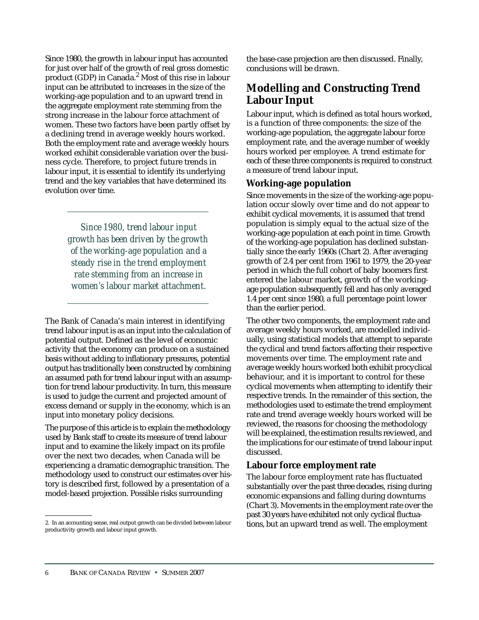Since 1980, the growth in labour input has accounted for just over half of the growth of real gross domestic product (GDP) in Canada.<sup>2</sup> Most of this rise in labour input can be attributed to increases in the size of the working-age population and to an upward trend in the aggregate employment rate stemming from the strong increase in the labour force attachment of women. These two factors have been partly offset by a declining trend in average weekly hours worked. Both the employment rate and average weekly hours worked exhibit considerable variation over the business cycle. Therefore, to project future trends in labour input, it is essential to identify its underlying trend and the key variables that have determined its evolution over time.

> *Since 1980, trend labour input growth has been driven by the growth of the working-age population and a steady rise in the trend employment rate stemming from an increase in women's labour market attachment.*

The Bank of Canada's main interest in identifying trend labour input is as an input into the calculation of potential output. Defined as the level of economic activity that the economy can produce on a sustained basis without adding to inflationary pressures, potential output has traditionally been constructed by combining an assumed path for trend labour input with an assumption for trend labour productivity. In turn, this measure is used to judge the current and projected amount of excess demand or supply in the economy, which is an input into monetary policy decisions.

The purpose of this article is to explain the methodology used by Bank staff to create its measure of trend labour input and to examine the likely impact on its profile over the next two decades, when Canada will be experiencing a dramatic demographic transition. The methodology used to construct our estimates over history is described first, followed by a presentation of a model-based projection. Possible risks surrounding

the base-case projection are then discussed. Finally, conclusions will be drawn.

# **Modelling and Constructing Trend Labour Input**

Labour input, which is defined as total hours worked, is a function of three components: the size of the working-age population, the aggregate labour force employment rate, and the average number of weekly hours worked per employee. A trend estimate for each of these three components is required to construct a measure of trend labour input.

# **Working-age population**

Since movements in the size of the working-age population occur slowly over time and do not appear to exhibit cyclical movements, it is assumed that trend population is simply equal to the actual size of the working-age population at each point in time. Growth of the working-age population has declined substantially since the early 1960s (Chart 2). After averaging growth of 2.4 per cent from 1961 to 1979, the 20-year period in which the full cohort of baby boomers first entered the labour market, growth of the workingage population subsequently fell and has only averaged 1.4 per cent since 1980, a full percentage point lower than the earlier period.

The other two components, the employment rate and average weekly hours worked, are modelled individually, using statistical models that attempt to separate the cyclical and trend factors affecting their respective movements over time. The employment rate and average weekly hours worked both exhibit procyclical behaviour, and it is important to control for these cyclical movements when attempting to identify their respective trends. In the remainder of this section, the methodologies used to estimate the trend employment rate and trend average weekly hours worked will be reviewed, the reasons for choosing the methodology will be explained, the estimation results reviewed, and the implications for our estimate of trend labour input discussed.

# **Labour force employment rate**

The labour force employment rate has fluctuated substantially over the past three decades, rising during economic expansions and falling during downturns (Chart 3). Movements in the employment rate over the past 30 years have exhibited not only cyclical fluctuations, but an upward trend as well. The employment

<sup>2.</sup> In an accounting sense, real output growth can be divided between labour productivity growth and labour input growth.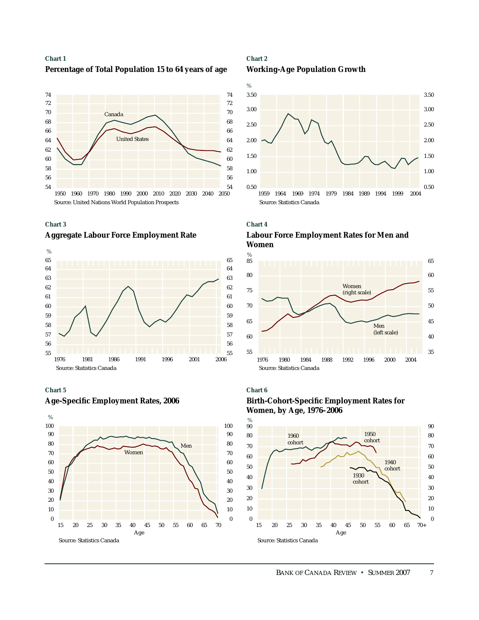## **Chart 1 Percentage of Total Population 15 to 64 years of age**





## **Aggregate Labour Force Employment Rate**



### **Chart 5**





## **Chart 2 Working-Age Population Growth**





# **Labour Force Employment Rates for Men and Women**



#### **Chart 6**



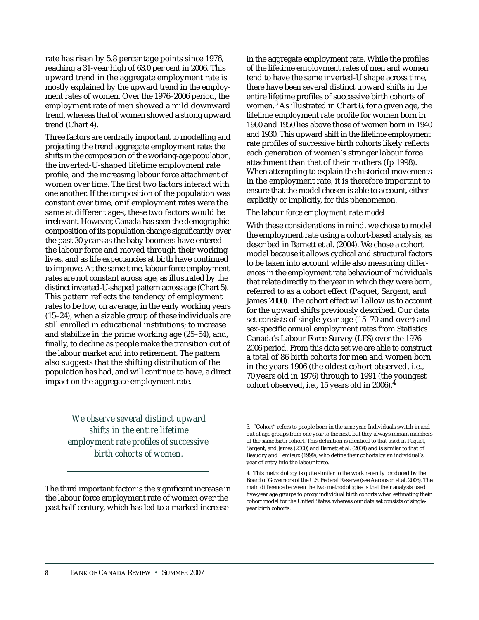rate has risen by 5.8 percentage points since 1976, reaching a 31-year high of 63.0 per cent in 2006. This upward trend in the aggregate employment rate is mostly explained by the upward trend in the employment rates of women. Over the 1976–2006 period, the employment rate of men showed a mild downward trend, whereas that of women showed a strong upward trend (Chart 4).

Three factors are centrally important to modelling and projecting the trend aggregate employment rate: the shifts in the composition of the working-age population, the inverted-U-shaped lifetime employment rate profile, and the increasing labour force attachment of women over time. The first two factors interact with one another. If the composition of the population was constant over time, or if employment rates were the same at different ages, these two factors would be irrelevant. However, Canada has seen the demographic composition of its population change significantly over the past 30 years as the baby boomers have entered the labour force and moved through their working lives, and as life expectancies at birth have continued to improve. At the same time, labour force employment rates are not constant across age, as illustrated by the distinct inverted-U-shaped pattern across age (Chart 5). This pattern reflects the tendency of employment rates to be low, on average, in the early working years (15–24), when a sizable group of these individuals are still enrolled in educational institutions; to increase and stabilize in the prime working age (25–54); and, finally, to decline as people make the transition out of the labour market and into retirement. The pattern also suggests that the shifting distribution of the population has had, and will continue to have, a direct impact on the aggregate employment rate.

in the aggregate employment rate. While the profiles of the lifetime employment rates of men and women tend to have the same inverted-U shape across time, there have been several distinct upward shifts in the entire lifetime profiles of successive birth cohorts of women.<sup>3</sup> As illustrated in Chart 6, for a given age, the lifetime employment rate profile for women born in 1960 and 1950 lies above those of women born in 1940 and 1930. This upward shift in the lifetime employment rate profiles of successive birth cohorts likely reflects each generation of women's stronger labour force attachment than that of their mothers (Ip 1998). When attempting to explain the historical movements in the employment rate, it is therefore important to ensure that the model chosen is able to account, either explicitly or implicitly, for this phenomenon.

## *The labour force employment rate model*

With these considerations in mind, we chose to model the employment rate using a cohort-based analysis, as described in Barnett et al. (2004). We chose a cohort model because it allows cyclical and structural factors to be taken into account while also measuring differences in the employment rate behaviour of individuals that relate directly to the year in which they were born, referred to as a cohort effect (Paquet, Sargent, and James 2000). The cohort effect will allow us to account for the upward shifts previously described. Our data set consists of single-year age (15–70 and over) and sex-specific annual employment rates from Statistics Canada's Labour Force Survey (LFS) over the 1976– 2006 period. From this data set we are able to construct a total of 86 birth cohorts for men and women born in the years 1906 (the oldest cohort observed, i.e., 70 years old in 1976) through to 1991 (the youngest cohort observed, i.e., 15 years old in 2006).4

*We observe several distinct upward shifts in the entire lifetime employment rate profiles of successive birth cohorts of women.*

The third important factor is the significant increase in the labour force employment rate of women over the past half-century, which has led to a marked increase

<sup>3. &</sup>quot;Cohort" refers to people born in the *same year*. Individuals switch in and out of age groups from one year to the next, but they always remain members of the same birth cohort. This definition is identical to that used in Paquet, Sargent, and James (2000) and Barnett et al. (2004) and is similar to that of Beaudry and Lemieux (1999), who define their cohorts by an individual's year of entry into the labour force.

<sup>4.</sup> This methodology is quite similar to the work recently produced by the Board of Governors of the U.S. Federal Reserve (see Aaronson et al. 2006). The main difference between the two methodologies is that their analysis used five-year age groups to proxy individual birth cohorts when estimating their cohort model for the United States, whereas our data set consists of singleyear birth cohorts.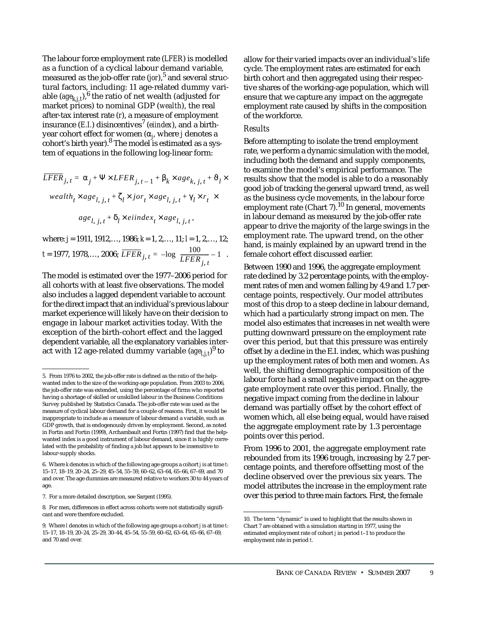The labour force employment rate (*LFER*) is modelled as a function of a cyclical labour demand variable, measured as the job-offer rate (*jor*),<sup>5</sup> and several structural factors, including: 11 age-related dummy variable  $(age_{k,i,t})$ <sup>6</sup>, the ratio of net wealth (adjusted for market prices) to nominal GDP (*wealth*), the real after-tax interest rate (*r*), a measure of employment insurance  $(E.I.)$  disincentives<sup>7</sup> (*eiindex*), and a birthyear cohort effect for women (α*<sup>j</sup>* , where *j* denotes a cohort's birth year). $8$  The model is estimated as a system of equations in the following log-linear form:

$$
\overline{LFER}_{j,t} = \alpha_j + \Psi \times LFER_{j,t-1} + \beta_k \times age_{k,j,t} + \vartheta_l \times
$$
  
weak<sub>t</sub> × age<sub>l, j,t</sub> +  $\zeta_l \times jor_t \times age_{l,j,t} + \gamma_l \times r_t \times$   
age<sub>l, j,t</sub> +  $\delta_l \times e$ index<sub>t</sub> × age<sub>l, j,t</sub>,

where: *j* = 1911, 1912,…, 1986; *k* = 1, 2,…, 11; *l* = 1, 2,…, 12;  $t = 1977, 1978,..., 2006; \overline{LFER}_{j, t} = -\log\left(\frac{100}{I \overline{EFR}} - 1\right).$  $= -log\left(\frac{100}{LFER_{j, t}} - 1\right)$ 

The model is estimated over the 1977–2006 period for all cohorts with at least five observations. The model also includes a lagged dependent variable to account for the direct impact that an individual's previous labour market experience will likely have on their decision to engage in labour market activities today. With the exception of the birth-cohort effect and the lagged dependent variable, all the explanatory variables interact with 12 age-related dummy variable ( $age_{l,j,t}^{\phantom i})^9$  to

allow for their varied impacts over an individual's life cycle. The employment rates are estimated for each birth cohort and then aggregated using their respective shares of the working-age population, which will ensure that we capture any impact on the aggregate employment rate caused by shifts in the composition of the workforce.

## *Results*

Before attempting to isolate the trend employment rate, we perform a dynamic simulation with the model, including both the demand and supply components, to examine the model's empirical performance. The results show that the model is able to do a reasonably good job of tracking the general upward trend, as well as the business cycle movements, in the labour force employment rate (Chart 7).<sup>10</sup> In general, movements in labour demand as measured by the job-offer rate appear to drive the majority of the large swings in the employment rate. The upward trend, on the other hand, is mainly explained by an upward trend in the female cohort effect discussed earlier.

Between 1990 and 1996, the aggregate employment rate declined by 3.2 percentage points, with the employment rates of men and women falling by 4.9 and 1.7 percentage points, respectively. Our model attributes most of this drop to a steep decline in labour demand, which had a particularly strong impact on men. The model also estimates that increases in net wealth were putting downward pressure on the employment rate over this period, but that this pressure was entirely offset by a decline in the E.I. index, which was pushing up the employment rates of both men and women. As well, the shifting demographic composition of the labour force had a small negative impact on the aggregate employment rate over this period. Finally, the negative impact coming from the decline in labour demand was partially offset by the cohort effect of women which, all else being equal, would have raised the aggregate employment rate by 1.3 percentage points over this period.

From 1996 to 2001, the aggregate employment rate rebounded from its 1996 trough, increasing by 2.7 percentage points, and therefore offsetting most of the decline observed over the previous six years. The model attributes the increase in the employment rate over this period to three main factors. First, the female

<sup>5.</sup> From 1976 to 2002, the job-offer rate is defined as the ratio of the helpwanted index to the size of the working-age population. From 2003 to 2006, the job-offer rate was extended, using the percentage of firms who reported having a shortage of skilled or unskilled labour in the Business Conditions Survey published by Statistics Canada. The job-offer rate was used as the measure of cyclical labour demand for a couple of reasons. First, it would be inappropriate to include as a measure of labour demand a variable, such as GDP growth, that is endogenously driven by employment. Second, as noted in Fortin and Fortin (1999), Archambault and Fortin (1997) find that the helpwanted index is a good instrument of labour demand, since it is highly correlated with the probability of finding a job but appears to be insensitive to labour-supply shocks.

<sup>6.</sup> Where *k* denotes in which of the following age groups a cohort *j* is at time *t*: 15–17, 18–19, 20–24, 25–29, 45–54, 55–59, 60–62, 63–64, 65–66, 67–69, and 70 and over. The age dummies are measured relative to workers 30 to 44 years of age.

<sup>7.</sup> For a more detailed description, see Sargent (1995).

<sup>8.</sup> For men, differences in effect across cohorts were not statistically significant and were therefore excluded.

<sup>9.</sup> Where *l* denotes in which of the following age groups a cohort *j* is at time *t*: 15–17, 18–19, 20–24, 25–29, 30–44, 45–54, 55–59, 60–62, 63–64, 65–66, 67–69, and 70 and over.

<sup>10.</sup> The term "dynamic" is used to highlight that the results shown in Chart 7 are obtained with a simulation starting in 1977, using the estimated employment rate of cohort *j* in period *t*–1 to produce the employment rate in period *t*.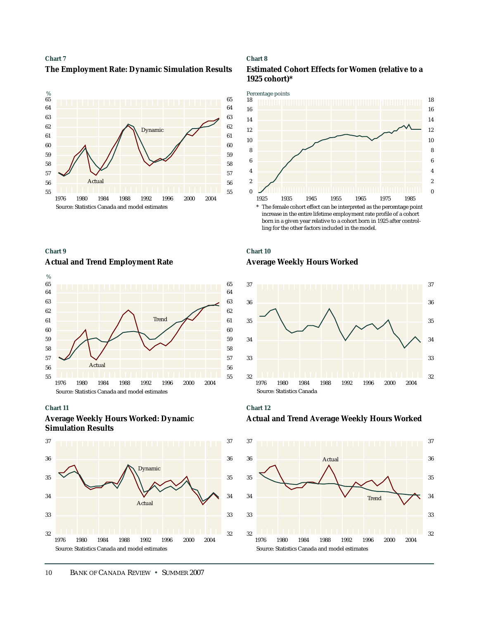



#### **Chart 9**

#### **Actual and Trend Employment Rate**



#### **Chart 11**

## **Average Weekly Hours Worked: Dynamic Simulation Results**



#### **Chart 8**





## **Chart 10 Average Weekly Hours Worked**



**Chart 12 Actual and Trend Average Weekly Hours Worked**

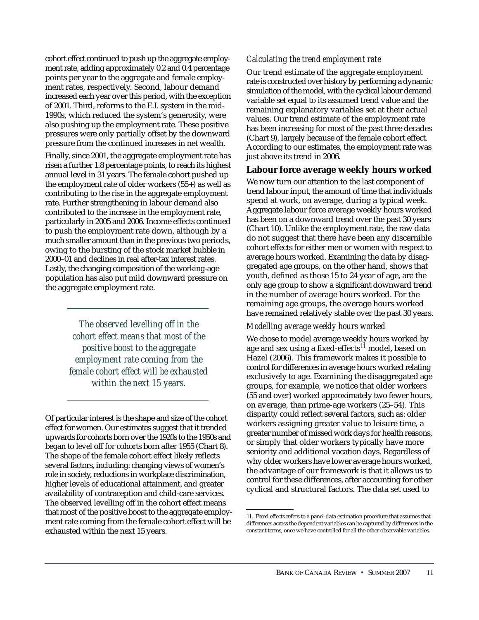cohort effect continued to push up the aggregate employment rate, adding approximately 0.2 and 0.4 percentage points per year to the aggregate and female employment rates, respectively. Second, labour demand increased each year over this period, with the exception of 2001. Third, reforms to the E.I. system in the mid-1990s, which reduced the system's generosity, were also pushing up the employment rate. These positive pressures were only partially offset by the downward pressure from the continued increases in net wealth.

Finally, since 2001, the aggregate employment rate has risen a further 1.8 percentage points, to reach its highest annual level in 31 years. The female cohort pushed up the employment rate of older workers (55+) as well as contributing to the rise in the aggregate employment rate. Further strengthening in labour demand also contributed to the increase in the employment rate, particularly in 2005 and 2006. Income effects continued to push the employment rate down, although by a much smaller amount than in the previous two periods, owing to the bursting of the stock market bubble in 2000–01 and declines in real after-tax interest rates. Lastly, the changing composition of the working-age population has also put mild downward pressure on the aggregate employment rate.

> *The observed levelling off in the cohort effect means that most of the positive boost to the aggregate employment rate coming from the female cohort effect will be exhausted within the next 15 years.*

Of particular interest is the shape and size of the cohort effect for women. Our estimates suggest that it trended upwards for cohorts born over the 1920s to the 1950s and began to level off for cohorts born after 1955 (Chart 8). The shape of the female cohort effect likely reflects several factors, including: changing views of women's role in society, reductions in workplace discrimination, higher levels of educational attainment, and greater availability of contraception and child-care services. The observed levelling off in the cohort effect means that most of the positive boost to the aggregate employment rate coming from the female cohort effect will be exhausted within the next 15 years.

## *Calculating the trend employment rate*

Our trend estimate of the aggregate employment rate is constructed over history by performing a dynamic simulation of the model, with the cyclical labour demand variable set equal to its assumed trend value and the remaining explanatory variables set at their actual values. Our trend estimate of the employment rate has been increasing for most of the past three decades (Chart 9), largely because of the female cohort effect. According to our estimates, the employment rate was just above its trend in 2006.

## **Labour force average weekly hours worked**

We now turn our attention to the last component of trend labour input, the amount of time that individuals spend at work, on average, during a typical week. Aggregate labour force average weekly hours worked has been on a downward trend over the past 30 years (Chart 10). Unlike the employment rate, the raw data do not suggest that there have been any discernible cohort effects for either men or women with respect to average hours worked. Examining the data by disaggregated age groups, on the other hand, shows that youth, defined as those 15 to 24 year of age, are the only age group to show a significant downward trend in the number of average hours worked. For the remaining age groups, the average hours worked have remained relatively stable over the past 30 years.

## *Modelling average weekly hours worked*

We chose to model average weekly hours worked by age and sex using a fixed-effects<sup>11</sup> model, based on Hazel (2006). This framework makes it possible to control for differences in average hours worked relating exclusively to age. Examining the disaggregated age groups, for example, we notice that older workers (55 and over) worked approximately two fewer hours, on average, than prime-age workers (25–54). This disparity could reflect several factors, such as: older workers assigning greater value to leisure time, a greater number of missed work days for health reasons, or simply that older workers typically have more seniority and additional vacation days. Regardless of why older workers have lower average hours worked, the advantage of our framework is that it allows us to control for these differences, after accounting for other cyclical and structural factors. The data set used to

<sup>11.</sup> Fixed effects refers to a panel-data estimation procedure that assumes that differences across the dependent variables can be captured by differences in the constant terms, once we have controlled for all the other observable variables.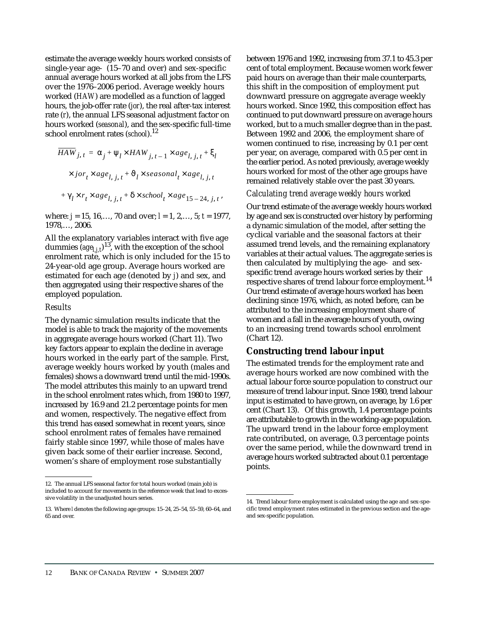estimate the average weekly hours worked consists of single-year age- (15–70 and over) and sex-specific annual average hours worked at all jobs from the LFS over the 1976–2006 period. Average weekly hours worked (*HAW*) are modelled as a function of lagged hours, the job-offer rate (*jor*), the real after-tax interest rate (*r*), the annual LFS seasonal adjustment factor on hours worked (*seasonal*), and the sex-specific full-time school enrolment rates (*school*).<sup>12</sup>

$$
\overline{HAW}_{j,t} = \alpha_j + \Psi_l \times HAW_{j,t-1} \times age_{l, j, t} + \xi_l
$$
  
 
$$
\times jor_t \times age_{l, j, t} + \vartheta_l \times seasonal_t \times age_{l, j, t}
$$
  
+ 
$$
\gamma_l \times r_t \times age_{l, j, t} + \delta \times school_t \times age_{15-24, j, t},
$$

where: *j* = 15, 16,…, 70 and over; *l* = 1, 2,…, 5; *t* = 1977, 1978,…, 2006.

All the explanatory variables interact with five age dummies  $(age_{l,j,t})^{13}$ , with the exception of the school enrolment rate, which is only included for the 15 to 24-year-old age group. Average hours worked are estimated for each age (denoted by *j*) and sex, and then aggregated using their respective shares of the employed population.

## *Results*

The dynamic simulation results indicate that the model is able to track the majority of the movements in aggregate average hours worked (Chart 11). Two key factors appear to explain the decline in average hours worked in the early part of the sample. First, average weekly hours worked by youth (males and females) shows a downward trend until the mid-1990s. The model attributes this mainly to an upward trend in the school enrolment rates which, from 1980 to 1997, increased by 16.9 and 21.2 percentage points for men and women, respectively. The negative effect from this trend has eased somewhat in recent years, since school enrolment rates of females have remained fairly stable since 1997, while those of males have given back some of their earlier increase. Second, women's share of employment rose substantially

between 1976 and 1992, increasing from 37.1 to 45.3 per cent of total employment. Because women work fewer paid hours on average than their male counterparts, this shift in the composition of employment put downward pressure on aggregate average weekly hours worked. Since 1992, this composition effect has continued to put downward pressure on average hours worked, but to a much smaller degree than in the past. Between 1992 and 2006, the employment share of women continued to rise, increasing by 0.1 per cent per year, on average, compared with 0.5 per cent in the earlier period. As noted previously, average weekly hours worked for most of the other age groups have remained relatively stable over the past 30 years.

### *Calculating trend average weekly hours worked*

Our trend estimate of the average weekly hours worked by age and sex is constructed over history by performing a dynamic simulation of the model, after setting the cyclical variable and the seasonal factors at their assumed trend levels, and the remaining explanatory variables at their actual values. The aggregate series is then calculated by multiplying the age- and sexspecific trend average hours worked series by their respective shares of trend labour force employment.<sup>14</sup> Our trend estimate of average hours worked has been declining since 1976, which, as noted before, can be attributed to the increasing employment share of women and a fall in the average hours of youth, owing to an increasing trend towards school enrolment (Chart 12).

## **Constructing trend labour input**

The estimated trends for the employment rate and average hours worked are now combined with the actual labour force source population to construct our measure of trend labour input. Since 1980, trend labour input is estimated to have grown, on average, by 1.6 per cent (Chart 13). Of this growth, 1.4 percentage points are attributable to growth in the working-age population. The upward trend in the labour force employment rate contributed, on average, 0.3 percentage points over the same period, while the downward trend in average hours worked subtracted about 0.1 percentage points.

<sup>12.</sup> The annual LFS seasonal factor for total hours worked (main job) is included to account for movements in the reference week that lead to excessive volatility in the unadjusted hours series.

<sup>13.</sup> Where *l* denotes the following age groups: 15–24, 25–54, 55–59, 60–64, and 65 and over.

<sup>14.</sup> Trend labour force employment is calculated using the age and sex-specific trend employment rates estimated in the previous section and the ageand sex-specific population.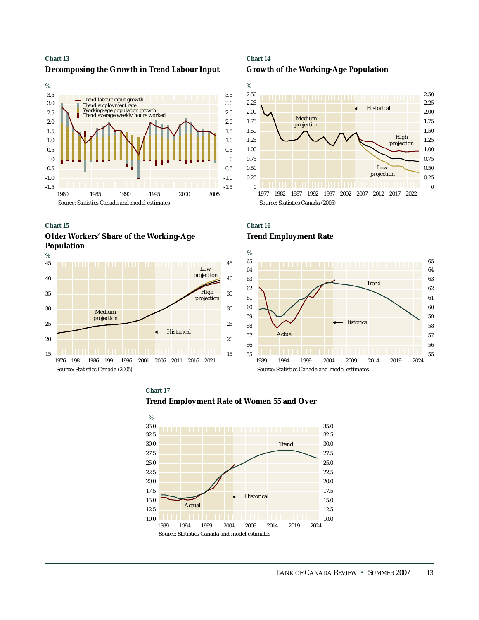#### **Chart 13**

### **Decomposing the Growth in Trend Labour Input**



#### **Chart 15**

**Older Workers' Share of the Working-Age Population**



## **Chart 14 Growth of the Working-Age Population**







## **Chart 17 Trend Employment Rate of Women 55 and Over**

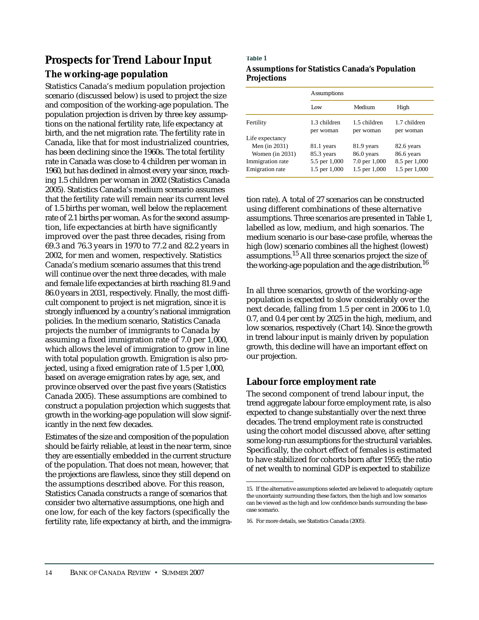# **Prospects for Trend Labour Input**

# **The working-age population**

Statistics Canada's medium population projection scenario (discussed below) is used to project the size and composition of the working-age population. The population projection is driven by three key assumptions on the national fertility rate, life expectancy at birth, and the net migration rate. The fertility rate in Canada, like that for most industrialized countries, has been declining since the 1960s. The total fertility rate in Canada was close to 4 children per woman in 1960, but has declined in almost every year since, reaching 1.5 children per woman in 2002 (Statistics Canada 2005). Statistics Canada's medium scenario assumes that the fertility rate will remain near its current level of 1.5 births per woman, well below the replacement rate of 2.1 births per woman. As for the second assumption, life expectancies at birth have significantly improved over the past three decades, rising from 69.3 and 76.3 years in 1970 to 77.2 and 82.2 years in 2002, for men and women, respectively. Statistics Canada's medium scenario assumes that this trend will continue over the next three decades, with male and female life expectancies at birth reaching 81.9 and 86.0 years in 2031, respectively. Finally, the most difficult component to project is net migration, since it is strongly influenced by a country's national immigration policies. In the medium scenario, Statistics Canada projects the number of immigrants to Canada by assuming a fixed immigration rate of 7.0 per 1,000, which allows the level of immigration to grow in line with total population growth. Emigration is also projected, using a fixed emigration rate of 1.5 per 1,000, based on average emigration rates by age, sex, and province observed over the past five years (Statistics Canada 2005). These assumptions are combined to construct a population projection which suggests that growth in the working-age population will slow significantly in the next few decades.

Estimates of the size and composition of the population should be fairly reliable, at least in the near term, since they are essentially embedded in the current structure of the population. That does not mean, however, that the projections are flawless, since they still depend on the assumptions described above. For this reason, Statistics Canada constructs a range of scenarios that consider two alternative assumptions, one high and one low, for each of the key factors (specifically the fertility rate, life expectancy at birth, and the immigra-

## **Table 1 Assumptions for Statistics Canada's Population Projections**

|                        | <b>Assumptions</b>        |                           |                           |  |
|------------------------|---------------------------|---------------------------|---------------------------|--|
|                        | Low                       | Medium                    | High                      |  |
| Fertility              | 1.3 children<br>per woman | 1.5 children<br>per woman | 1.7 children<br>per woman |  |
| Life expectancy        |                           |                           |                           |  |
| Men $(in 2031)$        | 81.1 years                | 81.9 years                | 82.6 years                |  |
| Women (in 2031)        | 85.3 years                | 86.0 years                | 86.6 years                |  |
| Immigration rate       | 5.5 per 1,000             | 7.0 per 1,000             | 8.5 per 1,000             |  |
| <b>Emigration</b> rate | 1.5 per 1,000             | 1.5 per 1,000             | 1.5 per 1,000             |  |

tion rate). A total of 27 scenarios can be constructed using different combinations of these alternative assumptions. Three scenarios are presented in Table 1, labelled as low, medium, and high scenarios. The medium scenario is our base-case profile, whereas the high (low) scenario combines all the highest (lowest) assumptions.15 All three scenarios project the size of the working-age population and the age distribution.<sup>16</sup>

In all three scenarios, growth of the working-age population is expected to slow considerably over the next decade, falling from 1.5 per cent in 2006 to 1.0, 0.7, and 0.4 per cent by 2025 in the high, medium, and low scenarios, respectively (Chart 14). Since the growth in trend labour input is mainly driven by population growth, this decline will have an important effect on our projection.

# **Labour force employment rate**

The second component of trend labour input, the trend aggregate labour force employment rate, is also expected to change substantially over the next three decades. The trend employment rate is constructed using the cohort model discussed above, after setting some long-run assumptions for the structural variables. Specifically, the cohort effect of females is estimated to have stabilized for cohorts born after 1955; the ratio of net wealth to nominal GDP is expected to stabilize

<sup>15.</sup> If the alternative assumptions selected are believed to adequately capture the uncertainty surrounding these factors, then the high and low scenarios can be viewed as the high and low confidence bands surrounding the basecase scenario.

<sup>16.</sup> For more details, see Statistics Canada (2005).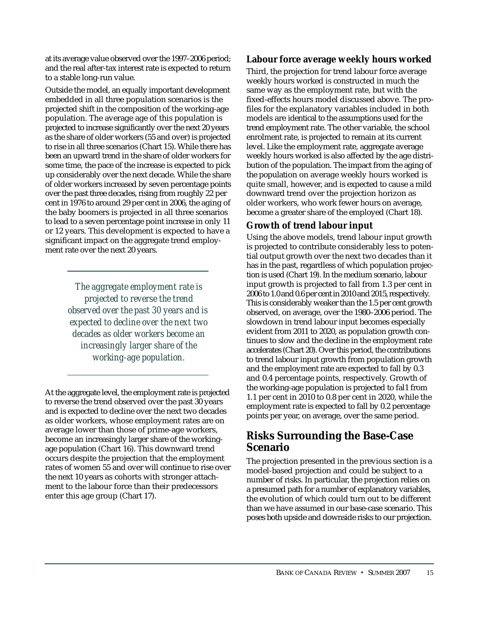at its average value observed over the 1997–2006 period; and the real after-tax interest rate is expected to return to a stable long-run value.

Outside the model, an equally important development embedded in all three population scenarios is the projected shift in the composition of the working-age population. The average age of this population is projected to increase significantly over the next 20 years as the share of older workers (55 and over) is projected to rise in all three scenarios (Chart 15). While there has been an upward trend in the share of older workers for some time, the pace of the increase is expected to pick up considerably over the next decade. While the share of older workers increased by seven percentage points over the past three decades, rising from roughly 22 per cent in 1976 to around 29 per cent in 2006, the aging of the baby boomers is projected in all three scenarios to lead to a seven percentage point increase in only 11 or 12 years. This development is expected to have a significant impact on the aggregate trend employment rate over the next 20 years.

> *The aggregate employment rate is projected to reverse the trend observed over the past 30 years and is expected to decline over the next two decades as older workers become an increasingly larger share of the working-age population.*

At the aggregate level, the employment rate is projected to reverse the trend observed over the past 30 years and is expected to decline over the next two decades as older workers, whose employment rates are on average lower than those of prime-age workers, become an increasingly larger share of the workingage population (Chart 16). This downward trend occurs despite the projection that the employment rates of women 55 and over will continue to rise over the next 10 years as cohorts with stronger attachment to the labour force than their predecessors enter this age group (Chart 17).

# **Labour force average weekly hours worked**

Third, the projection for trend labour force average weekly hours worked is constructed in much the same way as the employment rate, but with the fixed-effects hours model discussed above. The profiles for the explanatory variables included in both models are identical to the assumptions used for the trend employment rate. The other variable, the school enrolment rate, is projected to remain at its current level. Like the employment rate, aggregate average weekly hours worked is also affected by the age distribution of the population. The impact from the aging of the population on average weekly hours worked is quite small, however, and is expected to cause a mild downward trend over the projection horizon as older workers, who work fewer hours on average, become a greater share of the employed (Chart 18).

# **Growth of trend labour input**

Using the above models, trend labour input growth is projected to contribute considerably less to potential output growth over the next two decades than it has in the past, regardless of which population projection is used (Chart 19). In the medium scenario, labour input growth is projected to fall from 1.3 per cent in 2006 to 1.0 and 0.6 per cent in 2010 and 2015, respectively. This is considerably weaker than the 1.5 per cent growth observed, on average, over the 1980–2006 period. The slowdown in trend labour input becomes especially evident from 2011 to 2020, as population growth continues to slow and the decline in the employment rate accelerates (Chart 20). Over this period, the contributions to trend labour input growth from population growth and the employment rate are expected to fall by 0.3 and 0.4 percentage points, respectively. Growth of the working-age population is projected to fal1 from 1.1 per cent in 2010 to 0.8 per cent in 2020, while the employment rate is expected to fall by 0.2 percentage points per year, on average, over the same period.

# **Risks Surrounding the Base-Case Scenario**

The projection presented in the previous section is a model-based projection and could be subject to a number of risks. In particular, the projection relies on a presumed path for a number of explanatory variables, the evolution of which could turn out to be different than we have assumed in our base-case scenario. This poses both upside and downside risks to our projection.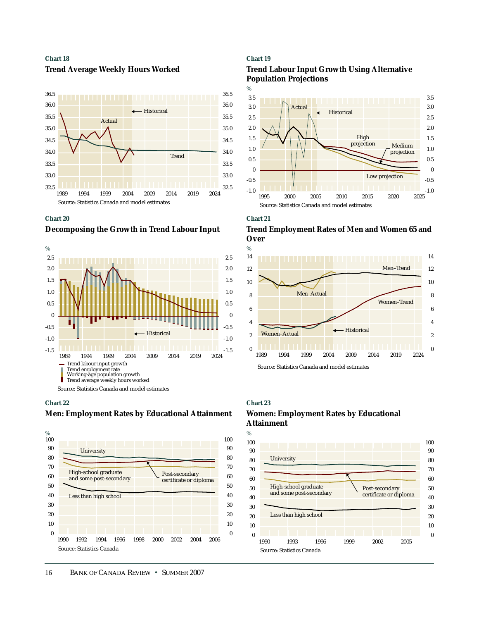**Chart 18 Trend Average Weekly Hours Worked**



#### **Chart 20**

**Decomposing the Growth in Trend Labour Input**



#### **Chart 22**

#### **Men: Employment Rates by Educational Attainment**



#### **Chart 19**





#### **Chart 21**

**Trend Employment Rates of Men and Women 65 and Over**



Source: Statistics Canada and model estimates

### **Chart 23**

## **Women: Employment Rates by Educational Attainment**

 $\mathcal{O}_6$ 

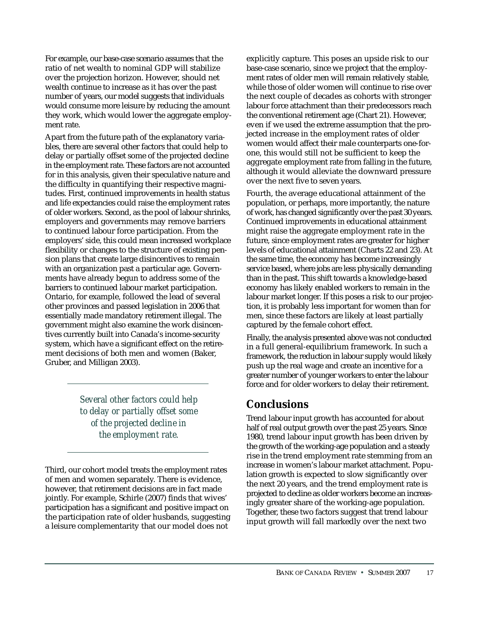For example, our base-case scenario assumes that the ratio of net wealth to nominal GDP will stabilize over the projection horizon. However, should net wealth continue to increase as it has over the past number of years, our model suggests that individuals would consume more leisure by reducing the amount they work, which would lower the aggregate employment rate.

Apart from the future path of the explanatory variables, there are several other factors that could help to delay or partially offset some of the projected decline in the employment rate. These factors are not accounted for in this analysis, given their speculative nature and the difficulty in quantifying their respective magnitudes. First, continued improvements in health status and life expectancies could raise the employment rates of older workers. Second, as the pool of labour shrinks, employers and governments may remove barriers to continued labour force participation. From the employers' side, this could mean increased workplace flexibility or changes to the structure of existing pension plans that create large disincentives to remain with an organization past a particular age. Governments have already begun to address some of the barriers to continued labour market participation. Ontario, for example, followed the lead of several other provinces and passed legislation in 2006 that essentially made mandatory retirement illegal. The government might also examine the work disincentives currently built into Canada's income-security system, which have a significant effect on the retirement decisions of both men and women (Baker, Gruber, and Milligan 2003).

> *Several other factors could help to delay or partially offset some of the projected decline in the employment rate.*

Third, our cohort model treats the employment rates of men and women separately. There is evidence, however, that retirement decisions are in fact made jointly. For example, Schirle (2007) finds that wives' participation has a significant and positive impact on the participation rate of older husbands, suggesting a leisure complementarity that our model does not

explicitly capture. This poses an upside risk to our base-case scenario, since we project that the employment rates of older men will remain relatively stable, while those of older women will continue to rise over the next couple of decades as cohorts with stronger labour force attachment than their predecessors reach the conventional retirement age (Chart 21). However, even if we used the extreme assumption that the projected increase in the employment rates of older women would affect their male counterparts one-forone, this would still not be sufficient to keep the aggregate employment rate from falling in the future, although it would alleviate the downward pressure over the next five to seven years.

Fourth, the average educational attainment of the population, or perhaps, more importantly, the nature of work, has changed significantly over the past 30 years. Continued improvements in educational attainment might raise the aggregate employment rate in the future, since employment rates are greater for higher levels of educational attainment (Charts 22 and 23). At the same time, the economy has become increasingly service based, where jobs are less physically demanding than in the past. This shift towards a knowledge-based economy has likely enabled workers to remain in the labour market longer. If this poses a risk to our projection, it is probably less important for women than for men, since these factors are likely at least partially captured by the female cohort effect.

Finally, the analysis presented above was not conducted in a full general-equilibrium framework. In such a framework, the reduction in labour supply would likely push up the real wage and create an incentive for a greater number of younger workers to enter the labour force and for older workers to delay their retirement.

# **Conclusions**

Trend labour input growth has accounted for about half of real output growth over the past 25 years. Since 1980, trend labour input growth has been driven by the growth of the working-age population and a steady rise in the trend employment rate stemming from an increase in women's labour market attachment. Population growth is expected to slow significantly over the next 20 years, and the trend employment rate is projected to decline as older workers become an increasingly greater share of the working-age population. Together, these two factors suggest that trend labour input growth will fall markedly over the next two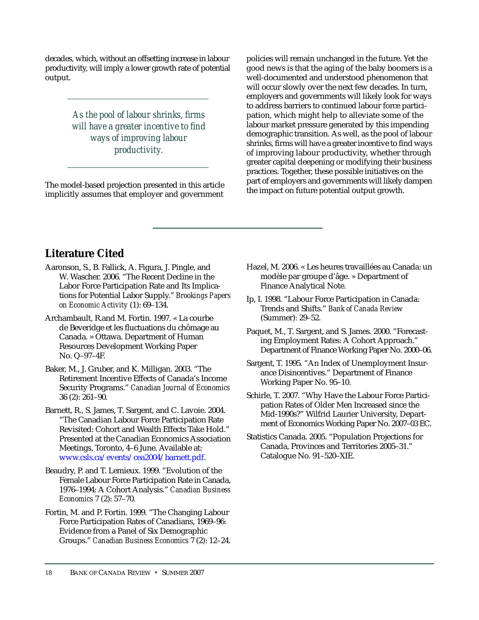decades, which, without an offsetting increase in labour productivity, will imply a lower growth rate of potential output.

> *As the pool of labour shrinks, firms will have a greater incentive to find ways of improving labour productivity.*

The model-based projection presented in this article implicitly assumes that employer and government

policies will remain unchanged in the future. Yet the good news is that the aging of the baby boomers is a well-documented and understood phenomenon that will occur slowly over the next few decades. In turn, employers and governments will likely look for ways to address barriers to continued labour force participation, which might help to alleviate some of the labour market pressure generated by this impending demographic transition. As well, as the pool of labour shrinks, firms will have a greater incentive to find ways of improving labour productivity, whether through greater capital deepening or modifying their business practices. Together, these possible initiatives on the part of employers and governments will likely dampen the impact on future potential output growth.

# **Literature Cited**

- Aaronson, S., B. Fallick, A. Figura, J. Pingle, and W. Wascher. 2006. "The Recent Decline in the Labor Force Participation Rate and Its Implications for Potential Labor Supply." *Brookings Papers on Economic Activity* (1): 69–134.
- Archambault, R.and M. Fortin. 1997. « La courbe de Beveridge et les fluctuations du chômage au Canada. » Ottawa. Department of Human Resources Development Working Paper No. Q–97–4F.
- Baker, M., J. Gruber, and K. Milligan. 2003. "The Retirement Incentive Effects of Canada's Income Security Programs." *Canadian Journal of Economics* 36 (2): 261–90.
- Barnett, R., S. James, T. Sargent, and C. Lavoie. 2004. "The Canadian Labour Force Participation Rate Revisited: Cohort and Wealth Effects Take Hold." Presented at the Canadian Economics Association Meetings, Toronto, 4–6 June. Available at: [www.csls.ca/events/cea2004/barnett.pdf.](http://www.csls.ca/events/cea2004/barnett.pdf)
- Beaudry, P. and T. Lemieux. 1999. "Evolution of the Female Labour Force Participation Rate in Canada, 1976–1994: A Cohort Analysis." *Canadian Business Economics* 7 (2): 57–70.
- Fortin, M. and P. Fortin. 1999. "The Changing Labour Force Participation Rates of Canadians, 1969–96: Evidence from a Panel of Six Demographic Groups." *Canadian Business Economics* 7 (2): 12–24.
- Hazel, M. 2006. « Les heures travaillées au Canada: un modèle par groupe d'âge. » Department of Finance Analytical Note.
- Ip, I. 1998. "Labour Force Participation in Canada: Trends and Shifts." *Bank of Canada Review* (Summer): 29–52.
- Paquet, M., T. Sargent, and S. James. 2000. "Forecasting Employment Rates: A Cohort Approach." Department of Finance Working Paper No. 2000–06.
- Sargent, T. 1995. "An Index of Unemployment Insurance Disincentives." Department of Finance Working Paper No. 95–10.
- Schirle, T. 2007. "Why Have the Labour Force Participation Rates of Older Men Increased since the Mid-1990s?" Wilfrid Laurier University, Department of Economics Working Paper No. 2007–03 EC.
- Statistics Canada. 2005. "Population Projections for Canada, Provinces and Territories 2005–31." Catalogue No. 91–520–XIE.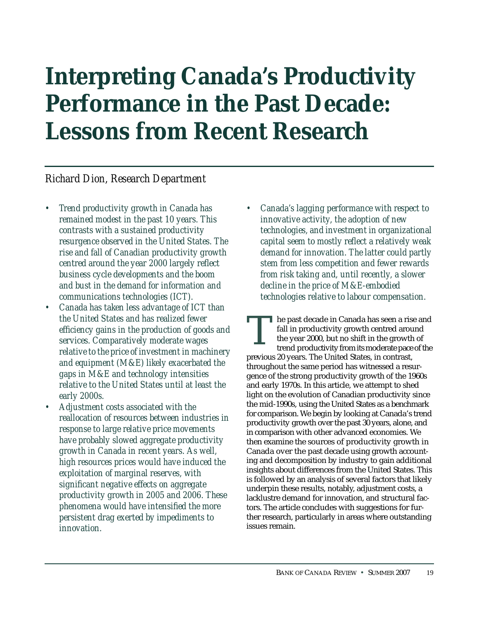# <span id="page-20-0"></span>**Interpreting Canada's Productivity Performance in the Past Decade: Lessons from Recent Research**

# *Richard Dion, Research Department*

- *Trend productivity growth in Canada has remained modest in the past 10 years. This contrasts with a sustained productivity resurgence observed in the United States. The rise and fall of Canadian productivity growth centred around the year 2000 largely reflect business cycle developments and the boom and bust in the demand for information and communications technologies (ICT).*
- *Canada has taken less advantage of ICT than the United States and has realized fewer efficiency gains in the production of goods and services. Comparatively moderate wages relative to the price of investment in machinery and equipment (M&E) likely exacerbated the gaps in M&E and technology intensities relative to the United States until at least the early 2000s.*
- *Adjustment costs associated with the reallocation of resources between industries in response to large relative price movements have probably slowed aggregate productivity growth in Canada in recent years. As well, high resources prices would have induced the exploitation of marginal reserves, with significant negative effects on aggregate productivity growth in 2005 and 2006. These phenomena would have intensified the more persistent drag exerted by impediments to innovation.*

*• Canada's lagging performance with respect to innovative activity, the adoption of new technologies, and investment in organizational capital seem to mostly reflect a relatively weak demand for innovation. The latter could partly stem from less competition and fewer rewards from risk taking and, until recently, a slower decline in the price of M&E-embodied technologies relative to labour compensation.*

he past decade in Canada has seen a rise and fall in productivity growth centred around the year 2000, but no shift in the growth of trend productivity from its moderate pace of the previous 20 years. The United States, in contrast, throughout the same period has witnessed a resurgence of the strong productivity growth of the 1960s and early 1970s. In this article, we attempt to shed light on the evolution of Canadian productivity since the mid-1990s, using the United States as a benchmark for comparison. We begin by looking at Canada's trend productivity growth over the past 30 years, alone, and in comparison with other advanced economies. We then examine the sources of productivity growth in Canada over the past decade using growth accounting and decomposition by industry to gain additional insights about differences from the United States. This is followed by an analysis of several factors that likely underpin these results, notably, adjustment costs, a lacklustre demand for innovation, and structural factors. The article concludes with suggestions for further research, particularly in areas where outstanding issues remain. T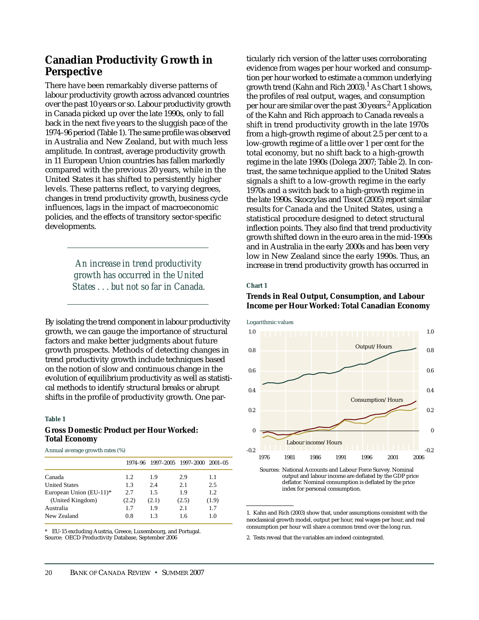# **Canadian Productivity Growth in Perspective**

There have been remarkably diverse patterns of labour productivity growth across advanced countries over the past 10 years or so. Labour productivity growth in Canada picked up over the late 1990s, only to fall back in the next five years to the sluggish pace of the 1974–96 period (Table 1). The same profile was observed in Australia and New Zealand, but with much less amplitude. In contrast, average productivity growth in 11 European Union countries has fallen markedly compared with the previous 20 years, while in the United States it has shifted to persistently higher levels. These patterns reflect, to varying degrees, changes in trend productivity growth, business cycle influences, lags in the impact of macroeconomic policies, and the effects of transitory sector-specific developments.

> *An increase in trend productivity growth has occurred in the United States . . . but not so far in Canada.*

By isolating the trend component in labour productivity growth, we can gauge the importance of structural factors and make better judgments about future growth prospects. Methods of detecting changes in trend productivity growth include techniques based on the notion of slow and continuous change in the evolution of equilibrium productivity as well as statistical methods to identify structural breaks or abrupt shifts in the profile of productivity growth. One par-

#### **Table 1**

#### **Gross Domestic Product per Hour Worked: Total Economy**

Annual average growth rates (%)

|                         | 1974-96 |       | 1997-2005 1997-2000 | $2001 - 05$ |
|-------------------------|---------|-------|---------------------|-------------|
| Canada                  | 1.2     | 1.9   | 2.9                 | 1.1         |
| <b>United States</b>    | 1.3     | 2.4   | 2.1                 | 2.5         |
| European Union (EU-11)* | 2.7     | 1.5   | 1.9                 | 1.2         |
| (United Kingdom)        | (2.2)   | (2.1) | (2.5)               | (1.9)       |
| Australia               | 1.7     | 1.9   | 2.1                 | 1.7         |
| New Zealand             | 0.8     | 13    | 1.6                 | 1.0         |

\* EU-15 excluding Austria, Greece, Luxembourg, and Portugal. Source: OECD Productivity Database, September 2006

ticularly rich version of the latter uses corroborating evidence from wages per hour worked and consumption per hour worked to estimate a common underlying growth trend (Kahn and Rich 2003). $<sup>1</sup>$  As Chart 1 shows,</sup> the profiles of real output, wages, and consumption per hour are similar over the past 30 years.<sup>2</sup> Application of the Kahn and Rich approach to Canada reveals a shift in trend productivity growth in the late 1970s from a high-growth regime of about 2.5 per cent to a low-growth regime of a little over 1 per cent for the total economy, but no shift back to a high-growth regime in the late 1990s (Dolega 2007; Table 2). In contrast, the same technique applied to the United States signals a shift to a low-growth regime in the early 1970s and a switch back to a high-growth regime in the late 1990s. Skoczylas and Tissot (2005) report similar results for Canada and the United States, using a statistical procedure designed to detect structural inflection points. They also find that trend productivity growth shifted down in the euro area in the mid-1990s and in Australia in the early 2000s and has been very low in New Zealand since the early 1990s. Thus, an increase in trend productivity growth has occurred in

#### **Chart 1**

## **Trends in Real Output, Consumption, and Labour Income per Hour Worked: Total Canadian Economy**



Sources: National Accounts and Labour Force Survey. Nominal output and labour income are deflated by the GDP price deflator. Nominal consumption is deflated by the price index for personal consumption.

1. Kahn and Rich (2003) show that, under assumptions consistent with the neoclassical growth model, output per hour, real wages per hour, and real consumption per hour will share a common trend over the long run.

2. Tests reveal that the variables are indeed cointegrated.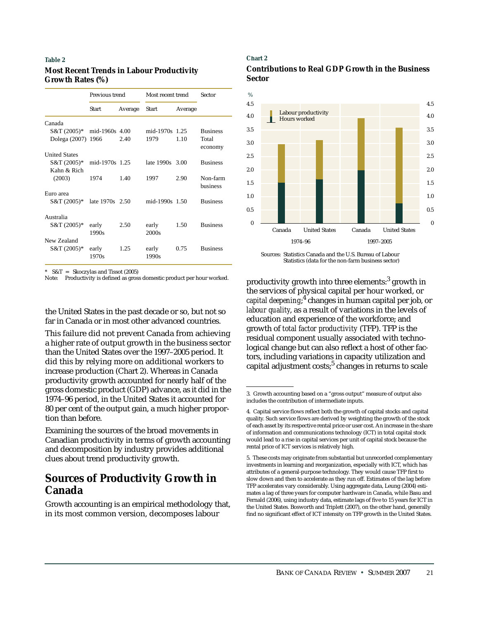## **Most Recent Trends in Labour Productivity Growth Rates (%)**

|                      | Previous trend  |         | Most recent trend |         | Sector               |
|----------------------|-----------------|---------|-------------------|---------|----------------------|
|                      | Start           | Average | <b>Start</b>      | Average |                      |
| Canada               |                 |         |                   |         |                      |
| $S&T(2005)*$         | mid-1960s 4.00  |         | mid-1970s 1.25    |         | <b>Business</b>      |
| Dolega (2007)        | 1966            | 2.40    | 1979              | 1.10    | Total<br>economy     |
| <b>United States</b> |                 |         |                   |         |                      |
| S&T (2005)*          | mid-1970s 1.25  |         | late 1990s 3.00   |         | <b>Business</b>      |
| Kahn & Rich          |                 |         |                   |         |                      |
| (2003)               | 1974            | 1.40    | 1997              | 2.90    | Non-farm<br>business |
| Euro area            |                 |         |                   |         |                      |
| S&T (2005)*          | late 1970s 2.50 |         | mid-1990s 1.50    |         | <b>Business</b>      |
| Australia            |                 |         |                   |         |                      |
| S&T (2005)*          | early           | 2.50    | early             | 1.50    | <b>Business</b>      |
|                      | 1990s           |         | 2000 <sub>s</sub> |         |                      |
| New Zealand          |                 |         |                   |         |                      |
| S&T (2005)*          | early<br>1970s  | 1.25    | early<br>1990s    | 0.75    | <b>Business</b>      |

\* S&T = Skoczylas and Tissot (2005)

the United States in the past decade or so, but not so far in Canada or in most other advanced countries.

This failure did not prevent Canada from achieving a higher rate of output growth in the business sector than the United States over the 1997–2005 period. It did this by relying more on additional workers to increase production (Chart 2). Whereas in Canada productivity growth accounted for nearly half of the gross domestic product (GDP) advance, as it did in the 1974–96 period, in the United States it accounted for 80 per cent of the output gain, a much higher proportion than before.

Examining the sources of the broad movements in Canadian productivity in terms of growth accounting and decomposition by industry provides additional clues about trend productivity growth.

# **Sources of Productivity Growth in Canada**

Growth accounting is an empirical methodology that, in its most common version, decomposes labour

#### **Chart 2**





Sources: Statistics Canada and the U.S. Bureau of Labour Statistics (data for the non-farm business sector)

productivity growth into three elements:<sup>3</sup> growth in the services of physical capital per hour worked, or *capital deepening*; <sup>4</sup> changes in human capital per job, or *labour quality*, as a result of variations in the levels of education and experience of the workforce; and growth of *total factor productivity* (TFP). TFP is the residual component usually associated with technological change but can also reflect a host of other factors, including variations in capacity utilization and capital adjustment costs; $5$  changes in returns to scale

<sup>3.</sup> Growth accounting based on a "gross output" measure of output also includes the contribution of intermediate inputs.

<sup>4.</sup> Capital service flows reflect both the growth of capital stocks and capital quality. Such service flows are derived by weighting the growth of the stock of each asset by its respective rental price or user cost. An increase in the share of information and communications technology (ICT) in total capital stock would lead to a rise in capital services per unit of capital stock because the rental price of ICT services is relatively high.

<sup>5.</sup> These costs may originate from substantial but unrecorded complementary investments in learning and reorganization, especially with ICT, which has attributes of a general-purpose technology. They would cause TFP first to slow down and then to accelerate as they run off. Estimates of the lag before TFP accelerates vary considerably. Using aggregate data, Leung (2004) estimates a lag of three years for computer hardware in Canada, while Basu and Fernald (2006), using industry data, estimate lags of five to 15 years for ICT in the United States. Bosworth and Triplett (2007), on the other hand, generally find no significant effect of ICT intensity on TFP growth in the United States.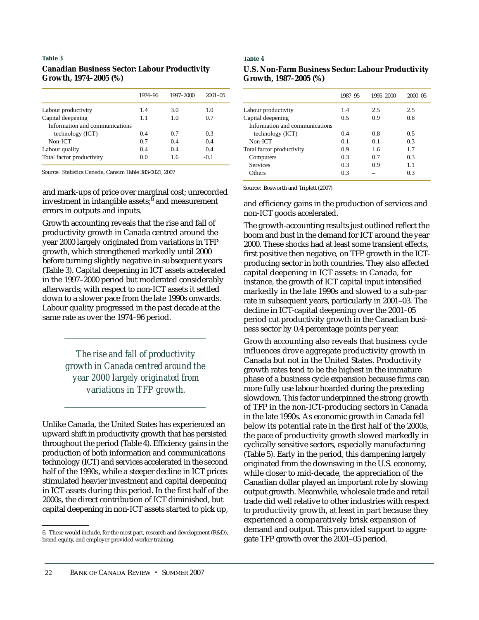## **Canadian Business Sector: Labour Productivity Growth, 1974–2005 (%)**

|                                | 1974-96 | 1997-2000 | $2001 - 05$ |
|--------------------------------|---------|-----------|-------------|
| Labour productivity            | 1.4     | 3.0       | 1.0         |
| Capital deepening              | 1.1     | 1.0       | 0.7         |
| Information and communications |         |           |             |
| technology (ICT)               | 0.4     | 0.7       | 0.3         |
| $Non-ICT$                      | 0.7     | 0.4       | 0.4         |
| Labour quality                 | 0.4     | 0.4       | 0.4         |
| Total factor productivity      | 0.0     | 1.6       | $-0.1$      |

Source: Statistics Canada, Cansim Table 383-0021, 2007

Source: Bosworth and Triplett (2007) and mark-ups of price over marginal cost; unrecorded investment in intangible assets; $6$  and measurement errors in outputs and inputs.

Growth accounting reveals that the rise and fall of productivity growth in Canada centred around the year 2000 largely originated from variations in TFP growth, which strengthened markedly until 2000 before turning slightly negative in subsequent years (Table 3). Capital deepening in ICT assets accelerated in the 1997–2000 period but moderated considerably afterwards; with respect to non-ICT assets it settled down to a slower pace from the late 1990s onwards. Labour quality progressed in the past decade at the same rate as over the 1974–96 period.

> *The rise and fall of productivity growth in Canada centred around the year 2000 largely originated from variations in TFP growth.*

Unlike Canada, the United States has experienced an upward shift in productivity growth that has persisted throughout the period (Table 4). Efficiency gains in the production of both information and communications technology (ICT) and services accelerated in the second half of the 1990s, while a steeper decline in ICT prices stimulated heavier investment and capital deepening in ICT assets during this period. In the first half of the 2000s, the direct contribution of ICT diminished, but capital deepening in non-ICT assets started to pick up,

#### **Table 4**

| <b>U.S. Non-Farm Business Sector: Labour Productivity</b> |  |
|-----------------------------------------------------------|--|
| Growth, 1987–2005 (%)                                     |  |

|                                | 1987-95 | 1995-2000 | $2000 - 05$ |
|--------------------------------|---------|-----------|-------------|
| Labour productivity            | 1.4     | 2.5       | 2.5         |
| Capital deepening              | 0.5     | 0.9       | 0.8         |
| Information and communications |         |           |             |
| technology (ICT)               | 0.4     | 0.8       | 0.5         |
| Non-ICT                        | 0.1     | 0.1       | 0.3         |
| Total factor productivity      | 0.9     | 1.6       | 1.7         |
| Computers                      | 0.3     | 0.7       | 0.3         |
| <b>Services</b>                | 0.3     | 0.9       | 1.1         |
| Others                         | 0.3     |           | 0.3         |

and efficiency gains in the production of services and non-ICT goods accelerated.

The growth-accounting results just outlined reflect the boom and bust in the demand for ICT around the year 2000. These shocks had at least some transient effects, first positive then negative, on TFP growth in the ICTproducing sector in both countries. They also affected capital deepening in ICT assets: in Canada, for instance, the growth of ICT capital input intensified markedly in the late 1990s and slowed to a sub-par rate in subsequent years, particularly in 2001–03. The decline in ICT-capital deepening over the 2001–05 period cut productivity growth in the Canadian business sector by 0.4 percentage points per year.

Growth accounting also reveals that business cycle influences drove aggregate productivity growth in Canada but not in the United States. Productivity growth rates tend to be the highest in the immature phase of a business cycle expansion because firms can more fully use labour hoarded during the preceding slowdown. This factor underpinned the strong growth of TFP in the non-ICT-producing sectors in Canada in the late 1990s. As economic growth in Canada fell below its potential rate in the first half of the 2000s, the pace of productivity growth slowed markedly in cyclically sensitive sectors, especially manufacturing (Table 5). Early in the period, this dampening largely originated from the downswing in the U.S. economy, while closer to mid-decade, the appreciation of the Canadian dollar played an important role by slowing output growth. Meanwhile, wholesale trade and retail trade did well relative to other industries with respect to productivity growth, at least in part because they experienced a comparatively brisk expansion of demand and output. This provided support to aggregate TFP growth over the 2001–05 period.

<sup>6.</sup> These would include, for the most part, research and development (R&D), brand equity, and employer-provided worker training.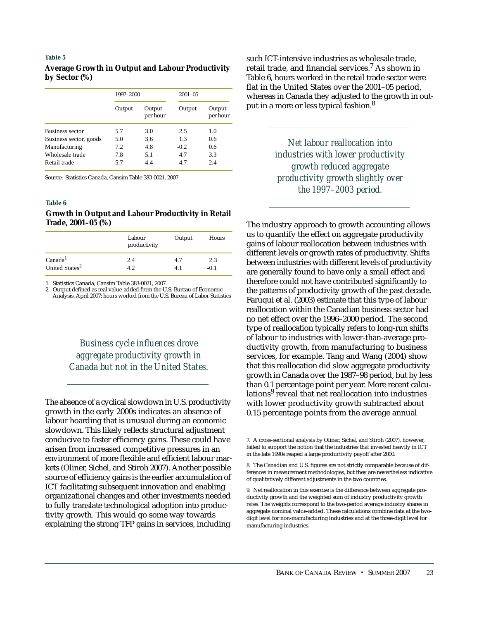## **Average Growth in Output and Labour Productivity by Sector (%)**

|                        | 1997-2000 |                    | $2001 - 05$ |                    |  |
|------------------------|-----------|--------------------|-------------|--------------------|--|
|                        | Output    | Output<br>per hour | Output      | Output<br>per hour |  |
| <b>Business sector</b> | 5.7       | 3.0                | 2.5         | 1.0                |  |
| Business sector, goods | 5.0       | 3.6                | 1.3         | 0.6                |  |
| Manufacturing          | 7.2       | 4.8                | $-0.2$      | 0.6                |  |
| Wholesale trade        | 7.8       | 5.1                | 4.7         | 3.3                |  |
| Retail trade           | 5.7       | 4.4                | 4.7         | 2.4                |  |

Source: Statistics Canada, Cansim Table 383-0021, 2007

#### **Table 6**

### **Growth in Output and Labour Productivity in Retail Trade, 2001–05 (%)**

|                            | Labour<br>productivity | Output | Hours |
|----------------------------|------------------------|--------|-------|
| Canada <sup>1</sup>        | 2.4                    | 4.7    | 2.3   |
| United States <sup>2</sup> | 19                     | 41     | -0.1  |

1. Statistics Canada, Cansim Table 383-0021, 2007

2. Output defined as real value-added from the U.S. Bureau of Economic Analysis, April 2007; hours worked from the U.S. Bureau of Labor Statistics

> *Business cycle influences drove aggregate productivity growth in Canada but not in the United States.*

The absence of a cyclical slowdown in U.S. productivity growth in the early 2000s indicates an absence of labour hoarding that is unusual during an economic slowdown. This likely reflects structural adjustment conducive to faster efficiency gains. These could have arisen from increased competitive pressures in an environment of more flexible and efficient labour markets (Oliner, Sichel, and Stiroh 2007). Another possible source of efficiency gains is the earlier accumulation of ICT facilitating subsequent innovation and enabling organizational changes and other investments needed to fully translate technological adoption into productivity growth. This would go some way towards explaining the strong TFP gains in services, including

such ICT-intensive industries as wholesale trade, retail trade, and financial services.<sup>7</sup> As shown in Table 6, hours worked in the retail trade sector were flat in the United States over the 2001–05 period, whereas in Canada they adjusted to the growth in output in a more or less typical fashion.<sup>8</sup>

> *Net labour reallocation into industries with lower productivity growth reduced aggregate productivity growth slightly over the 1997–2003 period.*

The industry approach to growth accounting allows us to quantify the effect on aggregate productivity gains of labour reallocation between industries with different levels or growth rates of productivity. Shifts between industries with different levels of productivity are generally found to have only a small effect and therefore could not have contributed significantly to the patterns of productivity growth of the past decade. Faruqui et al. (2003) estimate that this type of labour reallocation within the Canadian business sector had no net effect over the 1996–2000 period. The second type of reallocation typically refers to long-run shifts of labour to industries with lower-than-average productivity growth, from manufacturing to business services, for example. Tang and Wang (2004) show that this reallocation did slow aggregate productivity growth in Canada over the 1987–98 period, but by less than 0.1 percentage point per year. More recent calculations<sup>9</sup> reveal that net reallocation into industries with lower productivity growth subtracted about 0.15 percentage points from the average annual

<sup>7.</sup> A cross-sectional analysis by Oliner, Sichel, and Stiroh (2007), however, failed to support the notion that the industries that invested heavily in ICT in the late 1990s reaped a large productivity payoff after 2000.

<sup>8.</sup> The Canadian and U.S. figures are not strictly comparable because of differences in measurement methodologies, but they are nevertheless indicative of qualitatively different adjustments in the two countries.

<sup>9.</sup> Net reallocation in this exercise is the difference between aggregate productivity growth and the weighted sum of industry productivity growth rates. The weights correspond to the two-period average industry shares in aggregate nominal value-added. These calculations combine data at the twodigit level for non-manufacturing industries and at the three-digit level for manufacturing industries.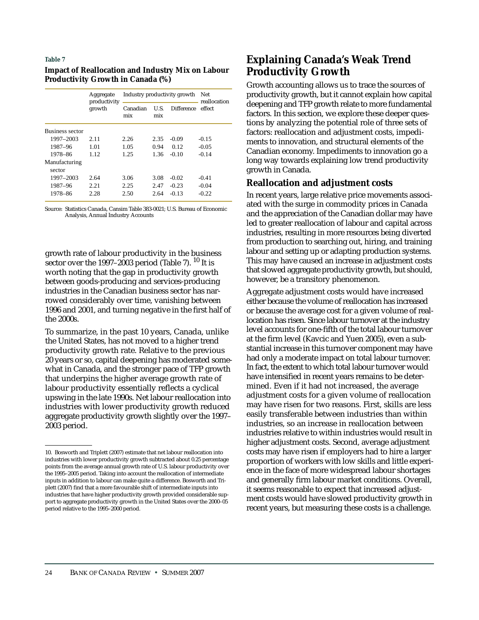| <b>Impact of Reallocation and Industry Mix on Labour</b> |  |
|----------------------------------------------------------|--|
| <b>Productivity Growth in Canada (%)</b>                 |  |

|                         | Industry productivity growth<br>Aggregate<br>productivity |                 | Net<br>reallocation |                   |         |
|-------------------------|-----------------------------------------------------------|-----------------|---------------------|-------------------|---------|
| growth                  |                                                           | Canadian<br>mix | U.S.<br>mix         | <b>Difference</b> | effect  |
| Business sector         |                                                           |                 |                     |                   |         |
| 1997-2003               | 2.11                                                      | 2.26            | 2.35                | $-0.09$           | $-0.15$ |
| 1987-96                 | 1.01                                                      | 1.05            | 0.94                | 0.12              | $-0.05$ |
| 1978-86                 | 1.12                                                      | 1.25            | 1.36                | $-0.10$           | $-0.14$ |
| Manufacturing<br>sector |                                                           |                 |                     |                   |         |
| 1997–2003               | 2.64                                                      | 3.06            | 3.08                | $-0.02$           | $-0.41$ |
| 1987–96                 | 2.21                                                      | 2.25            | 2.47                | $-0.23$           | $-0.04$ |
| 1978-86                 | 2.28                                                      | 2.50            | 2.64                | $-0.13$           | $-0.22$ |

Source: Statistics Canada, Cansim Table 383-0021; U.S. Bureau of Economic Analysis, Annual Industry Accounts

growth rate of labour productivity in the business sector over the 1997–2003 period (Table 7).  $^{10}$  It is worth noting that the gap in productivity growth between goods-producing and services-producing industries in the Canadian business sector has narrowed considerably over time, vanishing between 1996 and 2001, and turning negative in the first half of the 2000s.

To summarize, in the past 10 years, Canada, unlike the United States, has not moved to a higher trend productivity growth rate. Relative to the previous 20 years or so, capital deepening has moderated somewhat in Canada, and the stronger pace of TFP growth that underpins the higher average growth rate of labour productivity essentially reflects a cyclical upswing in the late 1990s. Net labour reallocation into industries with lower productivity growth reduced aggregate productivity growth slightly over the 1997– 2003 period.

# **Explaining Canada's Weak Trend Productivity Growth**

Growth accounting allows us to trace the sources of productivity growth, but it cannot explain how capital deepening and TFP growth relate to more fundamental factors. In this section, we explore these deeper questions by analyzing the potential role of three sets of factors: reallocation and adjustment costs, impediments to innovation, and structural elements of the Canadian economy. Impediments to innovation go a long way towards explaining low trend productivity growth in Canada.

## **Reallocation and adjustment costs**

In recent years, large relative price movements associated with the surge in commodity prices in Canada and the appreciation of the Canadian dollar may have led to greater reallocation of labour and capital across industries, resulting in more resources being diverted from production to searching out, hiring, and training labour and setting up or adapting production systems. This may have caused an increase in adjustment costs that slowed aggregate productivity growth, but should, however, be a transitory phenomenon.

Aggregate adjustment costs would have increased either because the volume of reallocation has increased or because the average cost for a given volume of reallocation has risen. Since labour turnover at the industry level accounts for one-fifth of the total labour turnover at the firm level (Kavcic and Yuen 2005), even a substantial increase in this turnover component may have had only a moderate impact on total labour turnover. In fact, the extent to which total labour turnover would have intensified in recent years remains to be determined. Even if it had not increased, the average adjustment costs for a given volume of reallocation may have risen for two reasons. First, skills are less easily transferable between industries than within industries, so an increase in reallocation between industries relative to within industries would result in higher adjustment costs. Second, average adjustment costs may have risen if employers had to hire a larger proportion of workers with low skills and little experience in the face of more widespread labour shortages and generally firm labour market conditions. Overall, it seems reasonable to expect that increased adjustment costs would have slowed productivity growth in recent years, but measuring these costs is a challenge.

<sup>10.</sup> Bosworth and Triplett (2007) estimate that net labour reallocation into industries with lower productivity growth subtracted about 0.25 percentage points from the average annual growth rate of U.S. labour productivity over the 1995–2005 period. Taking into account the reallocation of intermediate inputs in addition to labour can make quite a difference. Bosworth and Triplett (2007) find that a more favourable shift of intermediate inputs into industries that have higher productivity growth provided considerable support to aggregate productivity growth in the United States over the 2000–05 period relative to the 1995–2000 period.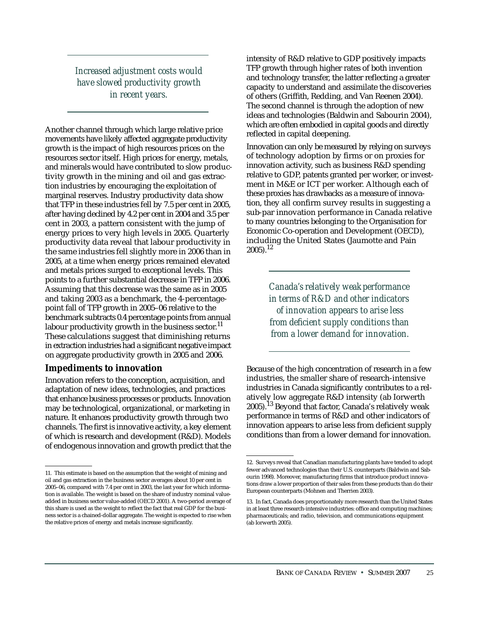*Increased adjustment costs would have slowed productivity growth in recent years.*

Another channel through which large relative price movements have likely affected aggregate productivity growth is the impact of high resources prices on the resources sector itself. High prices for energy, metals, and minerals would have contributed to slow productivity growth in the mining and oil and gas extraction industries by encouraging the exploitation of marginal reserves. Industry productivity data show that TFP in these industries fell by 7.5 per cent in 2005, after having declined by 4.2 per cent in 2004 and 3.5 per cent in 2003, a pattern consistent with the jump of energy prices to very high levels in 2005. Quarterly productivity data reveal that labour productivity in the same industries fell slightly more in 2006 than in 2005, at a time when energy prices remained elevated and metals prices surged to exceptional levels. This points to a further substantial decrease in TFP in 2006. Assuming that this decrease was the same as in 2005 and taking 2003 as a benchmark, the 4-percentagepoint fall of TFP growth in 2005–06 relative to the benchmark subtracts 0.4 percentage points from annual labour productivity growth in the business sector.<sup>11</sup> These calculations suggest that diminishing returns in extraction industries had a significant negative impact on aggregate productivity growth in 2005 and 2006.

# **Impediments to innovation**

Innovation refers to the conception, acquisition, and adaptation of new ideas, technologies, and practices that enhance business processes or products. Innovation may be technological, organizational, or marketing in nature. It enhances productivity growth through two channels. The first is innovative activity, a key element of which is research and development (R&D). Models of endogenous innovation and growth predict that the intensity of R&D relative to GDP positively impacts TFP growth through higher rates of both invention and technology transfer, the latter reflecting a greater capacity to understand and assimilate the discoveries of others (Griffith, Redding, and Van Reenen 2004). The second channel is through the adoption of new ideas and technologies (Baldwin and Sabourin 2004), which are often embodied in capital goods and directly reflected in capital deepening.

Innovation can only be measured by relying on surveys of technology adoption by firms or on proxies for innovation activity, such as business R&D spending relative to GDP, patents granted per worker, or investment in M&E or ICT per worker. Although each of these proxies has drawbacks as a measure of innovation, they all confirm survey results in suggesting a sub-par innovation performance in Canada relative to many countries belonging to the Organisation for Economic Co-operation and Development (OECD), including the United States (Jaumotte and Pain  $2005$ ).<sup>12</sup>

> *Canada's relatively weak performance in terms of R&D and other indicators of innovation appears to arise less from deficient supply conditions than from a lower demand for innovation.*

Because of the high concentration of research in a few industries, the smaller share of research-intensive industries in Canada significantly contributes to a relatively low aggregate R&D intensity (ab Iorwerth  $2005$ ).<sup>13</sup> Beyond that factor, Canada's relatively weak performance in terms of R&D and other indicators of innovation appears to arise less from deficient supply conditions than from a lower demand for innovation.

<sup>11.</sup> This estimate is based on the assumption that the weight of mining and oil and gas extraction in the business sector averages about 10 per cent in 2005–06, compared with 7.4 per cent in 2003, the last year for which information is available. The weight is based on the share of industry nominal valueadded in business sector value-added (OECD 2001). A two-period average of this share is used as the weight to reflect the fact that real GDP for the business sector is a chained-dollar aggregate. The weight is expected to rise when the relative prices of energy and metals increase significantly.

<sup>12.</sup> Surveys reveal that Canadian manufacturing plants have tended to adopt fewer advanced technologies than their U.S. counterparts (Baldwin and Sabourin 1998). Moreover, manufacturing firms that introduce product innovations draw a lower proportion of their sales from these products than do their European counterparts (Mohnen and Therrien 2003).

<sup>13.</sup> In fact, Canada does proportionately more research than the United States in at least three research-intensive industries: office and computing machines; pharmaceuticals; and radio, television, and communications equipment (ab Iorwerth 2005).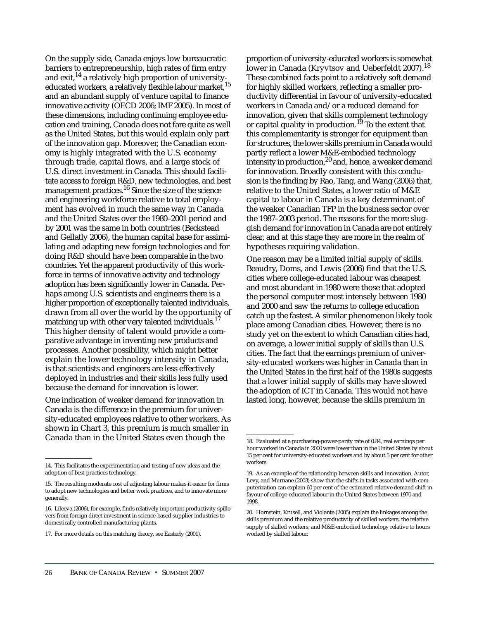On the supply side, Canada enjoys low bureaucratic barriers to entrepreneurship, high rates of firm entry and exit,  $14$  a relatively high proportion of universityeducated workers, a relatively flexible labour market.<sup>15</sup> and an abundant supply of venture capital to finance innovative activity (OECD 2006; IMF 2005). In most of these dimensions, including continuing employee education and training, Canada does not fare quite as well as the United States, but this would explain only part of the innovation gap. Moreover, the Canadian economy is highly integrated with the U.S. economy through trade, capital flows, and a large stock of U.S. direct investment in Canada. This should facilitate access to foreign R&D, new technologies, and best management practices.<sup>16</sup> Since the size of the science and engineering workforce relative to total employment has evolved in much the same way in Canada and the United States over the 1980–2001 period and by 2001 was the same in both countries (Beckstead and Gellatly 2006), the human capital base for assimilating and adapting new foreign technologies and for doing R&D should have been comparable in the two countries. Yet the apparent productivity of this workforce in terms of innovative activity and technology adoption has been significantly lower in Canada. Perhaps among U.S. scientists and engineers there is a higher proportion of exceptionally talented individuals, drawn from all over the world by the opportunity of matching up with other very talented individuals.<sup>17</sup> This higher density of talent would provide a comparative advantage in inventing new products and processes. Another possibility, which might better explain the lower technology intensity in Canada, is that scientists and engineers are less effectively deployed in industries and their skills less fully used because the demand for innovation is lower.

One indication of weaker demand for innovation in Canada is the difference in the premium for university-educated employees relative to other workers. As shown in Chart 3, this premium is much smaller in Canada than in the United States even though the

proportion of university-educated workers is somewhat lower in Canada (Kryvtsov and Ueberfeldt 2007).<sup>18</sup> These combined facts point to a relatively soft demand for highly skilled workers, reflecting a smaller productivity differential in favour of university-educated workers in Canada and/or a reduced demand for innovation, given that skills complement technology or capital quality in production.<sup>19</sup> To the extent that this complementarity is stronger for equipment than for structures, the lower skills premium in Canada would partly reflect a lower M&E-embodied technology intensity in production, $20$  and, hence, a weaker demand for innovation. Broadly consistent with this conclusion is the finding by Rao, Tang, and Wang (2006) that, relative to the United States, a lower ratio of M&E capital to labour in Canada is a key determinant of the weaker Canadian TFP in the business sector over the 1987–2003 period. The reasons for the more sluggish demand for innovation in Canada are not entirely clear, and at this stage they are more in the realm of hypotheses requiring validation.

One reason may be a limited *initial* supply of skills. Beaudry, Doms, and Lewis (2006) find that the U.S. cities where college-educated labour was cheapest and most abundant in 1980 were those that adopted the personal computer most intensely between 1980 and 2000 and saw the returns to college education catch up the fastest. A similar phenomenon likely took place among Canadian cities. However, there is no study yet on the extent to which Canadian cities had, on average, a lower initial supply of skills than U.S. cities. The fact that the earnings premium of university-educated workers was higher in Canada than in the United States in the first half of the 1980s suggests that a lower initial supply of skills may have slowed the adoption of ICT in Canada. This would not have lasted long, however, because the skills premium in

<sup>14.</sup> This facilitates the experimentation and testing of new ideas and the adoption of best-practices technology.

<sup>15.</sup> The resulting moderate cost of adjusting labour makes it easier for firms to adopt new technologies and better work practices, and to innovate more generally.

<sup>16.</sup> Lileeva (2006), for example, finds relatively important productivity spillovers from foreign direct investment in science-based supplier industries to domestically controlled manufacturing plants.

<sup>17.</sup> For more details on this matching theory, see Easterly (2001).

<sup>18.</sup> Evaluated at a purchasing-power-parity rate of 0.84, real earnings per hour worked in Canada in 2000 were lower than in the United States by about 15 per cent for university-educated workers and by about 5 per cent for other workers.

<sup>19.</sup> As an example of the relationship between skills and innovation, Autor, Levy, and Murnane (2003) show that the shifts in tasks associated with computerization can explain 60 per cent of the estimated relative demand shift in favour of college-educated labour in the United States between 1970 and 1998.

<sup>20.</sup> Hornstein, Krusell, and Violante (2005) explain the linkages among the skills premium and the relative productivity of skilled workers, the relative supply of skilled workers, and M&E-embodied technology relative to hours worked by skilled labour.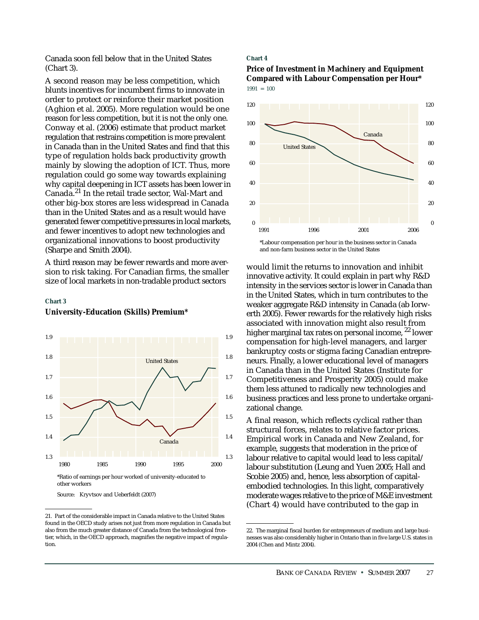Canada soon fell below that in the United States (Chart 3).

A second reason may be less competition, which blunts incentives for incumbent firms to innovate in order to protect or reinforce their market position (Aghion et al. 2005). More regulation would be one reason for less competition, but it is not the only one. Conway et al. (2006) estimate that product market regulation that restrains competition is more prevalent in Canada than in the United States and find that this type of regulation holds back productivity growth mainly by slowing the adoption of ICT. Thus, more regulation could go some way towards explaining why capital deepening in ICT assets has been lower in Canada.21 In the retail trade sector, Wal-Mart and other big-box stores are less widespread in Canada than in the United States and as a result would have generated fewer competitive pressures in local markets, and fewer incentives to adopt new technologies and organizational innovations to boost productivity (Sharpe and Smith 2004).

A third reason may be fewer rewards and more aversion to risk taking. For Canadian firms, the smaller size of local markets in non-tradable product sectors

#### **Chart 3**

#### **University-Education (Skills) Premium\***



Source: Kryvtsov and Ueberfeldt (2007)

#### **Chart 4**

#### **Price of Investment in Machinery and Equipment Compared with Labour Compensation per Hour\***  $1991 = 100$



\*Labour compensation per hour in the business sector in Canada and non-farm business sector in the United States

would limit the returns to innovation and inhibit innovative activity. It could explain in part why R&D intensity in the services sector is lower in Canada than in the United States, which in turn contributes to the weaker aggregate R&D intensity in Canada (ab Iorwerth 2005). Fewer rewards for the relatively high risks associated with innovation might also result from higher marginal tax rates on personal income, <sup>22</sup> lower compensation for high-level managers, and larger bankruptcy costs or stigma facing Canadian entrepreneurs. Finally, a lower educational level of managers in Canada than in the United States (Institute for Competitiveness and Prosperity 2005) could make them less attuned to radically new technologies and business practices and less prone to undertake organizational change.

A final reason, which reflects cyclical rather than structural forces, relates to relative factor prices. Empirical work in Canada and New Zealand, for example, suggests that moderation in the price of labour relative to capital would lead to less capital/ labour substitution (Leung and Yuen 2005; Hall and Scobie 2005) and, hence, less absorption of capitalembodied technologies. In this light, comparatively moderate wages relative to the price of M&E investment (Chart 4) would have contributed to the gap in

<sup>21.</sup> Part of the considerable impact in Canada relative to the United States found in the OECD study arises not just from more regulation in Canada but also from the much greater distance of Canada from the technological frontier, which, in the OECD approach, magnifies the negative impact of regulation.

<sup>22.</sup> The marginal fiscal burden for entrepreneurs of medium and large businesses was also considerably higher in Ontario than in five large U.S. states in 2004 (Chen and Mintz 2004).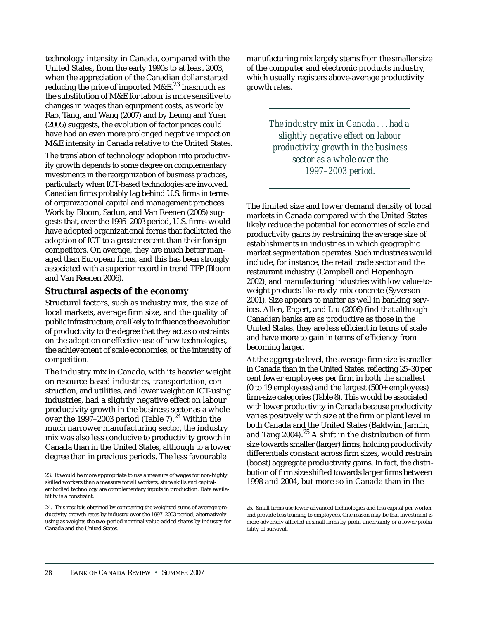technology intensity in Canada, compared with the United States, from the early 1990s to at least 2003, when the appreciation of the Canadian dollar started reducing the price of imported  $M\&E^{23}$  Inasmuch as the substitution of M&E for labour is more sensitive to changes in wages than equipment costs, as work by Rao, Tang, and Wang (2007) and by Leung and Yuen (2005) suggests, the evolution of factor prices could have had an even more prolonged negative impact on M&E intensity in Canada relative to the United States.

The translation of technology adoption into productivity growth depends to some degree on complementary investments in the reorganization of business practices, particularly when ICT-based technologies are involved. Canadian firms probably lag behind U.S. firms in terms of organizational capital and management practices. Work by Bloom, Sadun, and Van Reenen (2005) suggests that, over the 1995–2003 period, U.S. firms would have adopted organizational forms that facilitated the adoption of ICT to a greater extent than their foreign competitors. On average, they are much better managed than European firms, and this has been strongly associated with a superior record in trend TFP (Bloom and Van Reenen 2006).

## **Structural aspects of the economy**

Structural factors, such as industry mix, the size of local markets, average firm size, and the quality of public infrastructure, are likely to influence the evolution of productivity to the degree that they act as constraints on the adoption or effective use of new technologies, the achievement of scale economies, or the intensity of competition.

The industry mix in Canada, with its heavier weight on resource-based industries, transportation, construction, and utilities, and lower weight on ICT-using industries, had a slightly negative effect on labour productivity growth in the business sector as a whole over the  $1997-2003$  period (Table 7).<sup>24</sup> Within the much narrower manufacturing sector, the industry mix was also less conducive to productivity growth in Canada than in the United States, although to a lower degree than in previous periods. The less favourable

manufacturing mix largely stems from the smaller size of the computer and electronic products industry, which usually registers above-average productivity growth rates.

> *The industry mix in Canada . . . had a slightly negative effect on labour productivity growth in the business sector as a whole over the 1997–2003 period.*

The limited size and lower demand density of local markets in Canada compared with the United States likely reduce the potential for economies of scale and productivity gains by restraining the average size of establishments in industries in which geographic market segmentation operates. Such industries would include, for instance, the retail trade sector and the restaurant industry (Campbell and Hopenhayn 2002), and manufacturing industries with low value-toweight products like ready-mix concrete (Syverson 2001). Size appears to matter as well in banking services. Allen, Engert, and Liu (2006) find that although Canadian banks are as productive as those in the United States, they are less efficient in terms of scale and have more to gain in terms of efficiency from becoming larger.

At the aggregate level, the average firm size is smaller in Canada than in the United States, reflecting 25–30 per cent fewer employees per firm in both the smallest (0 to 19 employees) and the largest (500+ employees) firm-size categories (Table 8). This would be associated with lower productivity in Canada because productivity varies positively with size at the firm or plant level in both Canada and the United States (Baldwin, Jarmin, and Tang  $2004$ ).<sup>25</sup> A shift in the distribution of firm size towards smaller (larger) firms, holding productivity differentials constant across firm sizes, would restrain (boost) aggregate productivity gains. In fact, the distribution of firm size shifted towards larger firms between 1998 and 2004, but more so in Canada than in the

<sup>23.</sup> It would be more appropriate to use a measure of wages for non-highly skilled workers than a measure for all workers, since skills and capitalembodied technology are complementary inputs in production. Data availability is a constraint.

<sup>24.</sup> This result is obtained by comparing the weighted sums of average productivity growth rates by industry over the 1997–2003 period, alternatively using as weights the two-period nominal value-added shares by industry for Canada and the United States.

<sup>25.</sup> Small firms use fewer advanced technologies and less capital per worker and provide less training to employees. One reason may be that investment is more adversely affected in small firms by profit uncertainty or a lower probability of survival.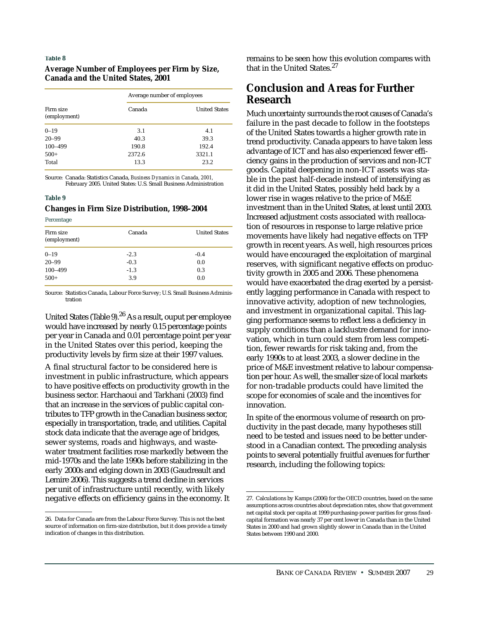### **Average Number of Employees per Firm by Size, Canada and the United States, 2001**

|                           | Average number of employees |                      |  |
|---------------------------|-----------------------------|----------------------|--|
| Firm size<br>(employment) | Canada                      | <b>United States</b> |  |
| $0 - 19$                  | 3.1                         | 4.1                  |  |
| $20 - 99$                 | 40.3                        | 39.3                 |  |
| 100-499                   | 190.8                       | 192.4                |  |
| $500+$                    | 2372.6                      | 3321.1               |  |
| Total                     | 13.3                        | 23.2                 |  |

Source: Canada: Statistics Canada, *Business Dynamics in Canada, 2001,* February 2005. United States: U.S. Small Business Administration

#### **Table 9**

#### **Changes in Firm Size Distribution, 1998–2004**

**Percentage** 

| Firm size<br>(employment) | Canada | <b>United States</b> |
|---------------------------|--------|----------------------|
| $0 - 19$                  | $-2.3$ | $-0.4$               |
| $20 - 99$                 | $-0.3$ | 0.0                  |
| 100-499                   | $-1.3$ | 0.3                  |
| $500+$                    | 3.9    | 0.0                  |

Source: Statistics Canada, Labour Force Survey; U.S. Small Business Administration

United States (Table 9).26 As a result, ouput per employee would have increased by nearly 0.15 percentage points per year in Canada and 0.01 percentage point per year in the United States over this period, keeping the productivity levels by firm size at their 1997 values.

A final structural factor to be considered here is investment in public infrastructure, which appears to have positive effects on productivity growth in the business sector. Harchaoui and Tarkhani (2003) find that an increase in the services of public capital contributes to TFP growth in the Canadian business sector, especially in transportation, trade, and utilities. Capital stock data indicate that the average age of bridges, sewer systems, roads and highways, and wastewater treatment facilities rose markedly between the mid-1970s and the late 1990s before stabilizing in the early 2000s and edging down in 2003 (Gaudreault and Lemire 2006). This suggests a trend decline in services per unit of infrastructure until recently, with likely negative effects on efficiency gains in the economy. It remains to be seen how this evolution compares with that in the United States.<sup>27</sup>

# **Conclusion and Areas for Further Research**

Much uncertainty surrounds the root causes of Canada's failure in the past decade to follow in the footsteps of the United States towards a higher growth rate in trend productivity. Canada appears to have taken less advantage of ICT and has also experienced fewer efficiency gains in the production of services and non-ICT goods. Capital deepening in non-ICT assets was stable in the past half-decade instead of intensifying as it did in the United States, possibly held back by a lower rise in wages relative to the price of M&E investment than in the United States, at least until 2003. Increased adjustment costs associated with reallocation of resources in response to large relative price movements have likely had negative effects on TFP growth in recent years. As well, high resources prices would have encouraged the exploitation of marginal reserves, with significant negative effects on productivity growth in 2005 and 2006. These phenomena would have exacerbated the drag exerted by a persistently lagging performance in Canada with respect to innovative activity, adoption of new technologies, and investment in organizational capital. This lagging performance seems to reflect less a deficiency in supply conditions than a lacklustre demand for innovation, which in turn could stem from less competition, fewer rewards for risk taking and, from the early 1990s to at least 2003, a slower decline in the price of M&E investment relative to labour compensation per hour. As well, the smaller size of local markets for non-tradable products could have limited the scope for economies of scale and the incentives for innovation.

In spite of the enormous volume of research on productivity in the past decade, many hypotheses still need to be tested and issues need to be better understood in a Canadian context. The preceding analysis points to several potentially fruitful avenues for further research, including the following topics:

<sup>26.</sup> Data for Canada are from the Labour Force Survey. This is not the best source of information on firm-size distribution, but it does provide a timely indication of changes in this distribution.

<sup>27.</sup> Calculations by Kamps (2006) for the OECD countries, based on the same assumptions across countries about depreciation rates, show that government net capital stock per capita at 1999 purchasing-power parities for gross fixedcapital formation was nearly 37 per cent lower in Canada than in the United States in 2000 and had grown slightly slower in Canada than in the United States between 1990 and 2000.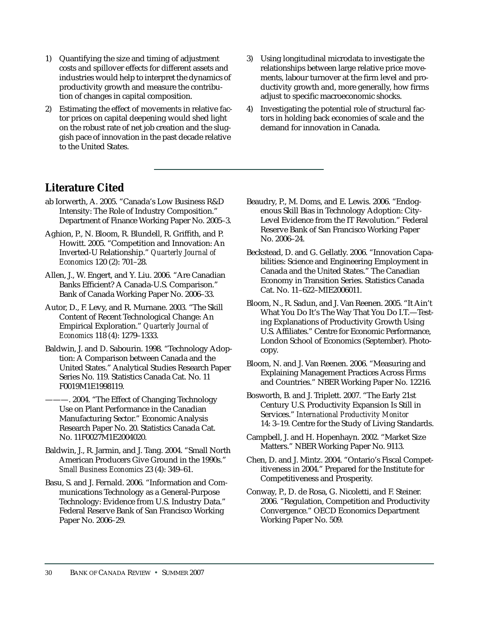- 1) Quantifying the size and timing of adjustment costs and spillover effects for different assets and industries would help to interpret the dynamics of productivity growth and measure the contribution of changes in capital composition.
- 2) Estimating the effect of movements in relative factor prices on capital deepening would shed light on the robust rate of net job creation and the sluggish pace of innovation in the past decade relative to the United States.
- 3) Using longitudinal microdata to investigate the relationships between large relative price movements, labour turnover at the firm level and productivity growth and, more generally, how firms adjust to specific macroeconomic shocks.
- 4) Investigating the potential role of structural factors in holding back economies of scale and the demand for innovation in Canada.

# **Literature Cited**

- ab Iorwerth, A. 2005. "Canada's Low Business R&D Intensity: The Role of Industry Composition." Department of Finance Working Paper No. 2005–3.
- Aghion, P., N. Bloom, R. Blundell, R. Griffith, and P. Howitt. 2005. "Competition and Innovation: An Inverted-U Relationship." *Quarterly Journal of Economics* 120 (2): 701–28.
- Allen, J., W. Engert, and Y. Liu. 2006. "Are Canadian Banks Efficient? A Canada-U.S. Comparison." Bank of Canada Working Paper No. 2006–33.
- Autor, D., F. Levy, and R. Murnane. 2003. "The Skill Content of Recent Technological Change: An Empirical Exploration." *Quarterly Journal of Economics* 118 (4): 1279–1333.
- Baldwin, J. and D. Sabourin. 1998. "Technology Adoption: A Comparison between Canada and the United States." Analytical Studies Research Paper Series No. 119. Statistics Canada Cat. No. 11 F0019M1E1998119.
	- 2004. "The Effect of Changing Technology Use on Plant Performance in the Canadian Manufacturing Sector." Economic Analysis Research Paper No. 20. Statistics Canada Cat. No. 11F0027M1E2004020.
- Baldwin, J., R. Jarmin, and J. Tang. 2004. "Small North American Producers Give Ground in the 1990s." *Small Business Economics* 23 (4): 349–61.
- Basu, S. and J. Fernald. 2006. "Information and Communications Technology as a General-Purpose Technology: Evidence from U.S. Industry Data." Federal Reserve Bank of San Francisco Working Paper No. 2006–29.
- Beaudry, P., M. Doms, and E. Lewis. 2006. "Endogenous Skill Bias in Technology Adoption: City-Level Evidence from the IT Revolution." Federal Reserve Bank of San Francisco Working Paper No. 2006–24.
- Beckstead, D. and G. Gellatly. 2006. "Innovation Capabilities: Science and Engineering Employment in Canada and the United States." The Canadian Economy in Transition Series. Statistics Canada Cat. No. 11–622–MIE2006011.
- Bloom, N., R. Sadun, and J. Van Reenen. 2005. "It Ain't What You Do It's The Way That You Do I.T.—Testing Explanations of Productivity Growth Using U.S. Affiliates." Centre for Economic Performance, London School of Economics (September). Photocopy.
- Bloom, N. and J. Van Reenen. 2006. "Measuring and Explaining Management Practices Across Firms and Countries." NBER Working Paper No. 12216.
- Bosworth, B. and J. Triplett. 2007. "The Early 21st Century U.S. Productivity Expansion Is Still in Services." *International Productivity Monitor* 14: 3–19. Centre for the Study of Living Standards.
- Campbell, J. and H. Hopenhayn. 2002. "Market Size Matters." NBER Working Paper No. 9113.
- Chen, D. and J. Mintz. 2004. "Ontario's Fiscal Competitiveness in 2004." Prepared for the Institute for Competitiveness and Prosperity.
- Conway, P., D. de Rosa, G. Nicoletti, and F. Steiner. 2006. "Regulation, Competition and Productivity Convergence." OECD Economics Department Working Paper No. 509.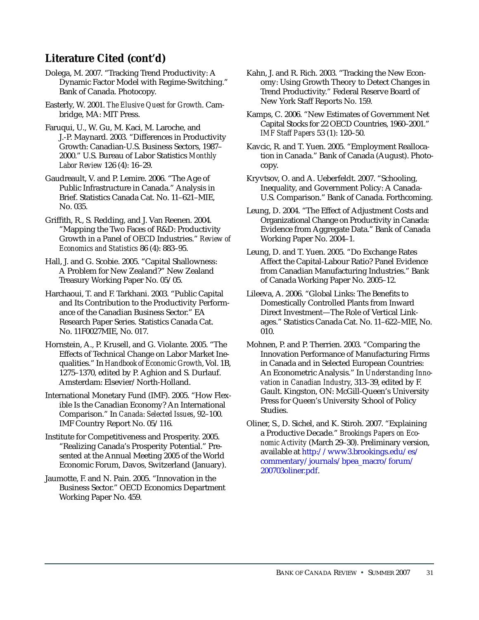# **Literature Cited (cont'd)**

Dolega, M. 2007. "Tracking Trend Productivity: A Dynamic Factor Model with Regime-Switching." Bank of Canada. Photocopy.

Easterly, W. 2001. *The Elusive Quest for Growth*. Cambridge, MA: MIT Press.

Faruqui, U., W. Gu, M. Kaci, M. Laroche, and J.-P. Maynard. 2003. "Differences in Productivity Growth: Canadian-U.S. Business Sectors, 1987– 2000." U.S. Bureau of Labor Statistics *Monthly Labor Review* 126 (4): 16–29.

Gaudreault, V. and P. Lemire. 2006. "The Age of Public Infrastructure in Canada." Analysis in Brief. Statistics Canada Cat. No. 11–621–MIE, No. 035.

Griffith, R., S. Redding, and J. Van Reenen. 2004. "Mapping the Two Faces of R&D: Productivity Growth in a Panel of OECD Industries." *Review of Economics and Statistics* 86 (4): 883–95.

Hall, J. and G. Scobie. 2005. "Capital Shallowness: A Problem for New Zealand?" New Zealand Treasury Working Paper No. 05/05.

Harchaoui, T. and F. Tarkhani. 2003. "Public Capital and Its Contribution to the Productivity Performance of the Canadian Business Sector." EA Research Paper Series. Statistics Canada Cat. No. 11F0027MIE, No. 017.

Hornstein, A., P. Krusell, and G. Violante. 2005. "The Effects of Technical Change on Labor Market Inequalities." In *Handbook of Economic Growth*, Vol. 1B, 1275–1370, edited by P. Aghion and S. Durlauf. Amsterdam: Elsevier/North-Holland.

International Monetary Fund (IMF). 2005. "How Flexible Is the Canadian Economy? An International Comparison." In *Canada*: *Selected Issues*, 92–100. IMF Country Report No. 05/116.

Institute for Competitiveness and Prosperity. 2005. "Realizing Canada's Prosperity Potential." Presented at the Annual Meeting 2005 of the World Economic Forum, Davos, Switzerland (January).

Jaumotte, F. and N. Pain. 2005. "Innovation in the Business Sector." OECD Economics Department Working Paper No. 459.

Kahn, J. and R. Rich. 2003. "Tracking the New Economy: Using Growth Theory to Detect Changes in Trend Productivity." Federal Reserve Board of New York Staff Reports No. 159.

Kamps, C. 2006. "New Estimates of Government Net Capital Stocks for 22 OECD Countries, 1960–2001." *IMF Staff Papers* 53 (1): 120–50.

Kavcic, R. and T. Yuen. 2005. "Employment Reallocation in Canada." Bank of Canada (August). Photocopy.

Kryvtsov, O. and A. Ueberfeldt. 2007. "Schooling, Inequality, and Government Policy: A Canada-U.S. Comparison." Bank of Canada. Forthcoming.

Leung, D. 2004. "The Effect of Adjustment Costs and Organizational Change on Productivity in Canada: Evidence from Aggregate Data." Bank of Canada Working Paper No. 2004–1.

Leung, D. and T. Yuen. 2005. "Do Exchange Rates Affect the Capital-Labour Ratio? Panel Evidence from Canadian Manufacturing Industries." Bank of Canada Working Paper No. 2005–12.

Lileeva, A. 2006. "Global Links: The Benefits to Domestically Controlled Plants from Inward Direct Investment—The Role of Vertical Linkages." Statistics Canada Cat. No. 11–622–MIE, No. 010.

Mohnen, P. and P. Therrien. 2003. "Comparing the Innovation Performance of Manufacturing Firms in Canada and in Selected European Countries: An Econometric Analysis." In *Understanding Innovation in Canadian Industry*, 313–39, edited by F. Gault. Kingston, ON: McGill-Queen's University Press for Queen's University School of Policy Studies.

Oliner, S., D. Sichel, and K. Stiroh. 2007. "Explaining a Productive Decade." *Brookings Papers on Economic Activity* (March 29–30). Preliminary version, available at http://www3.brookings.edu/es/ [commentary/journals/bpea\\_macro/forum/](http://www3.brookings.edu/es/commentary/journals/bpea_macro/forum/200703oliner.pdf) 200703oliner.pdf.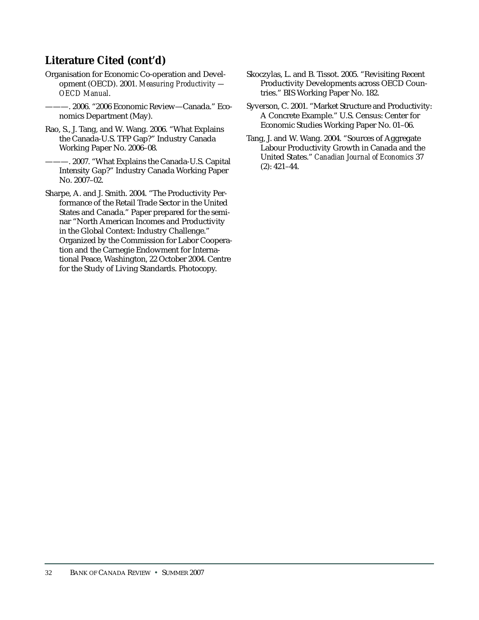# **Literature Cited (cont'd)**

- Organisation for Economic Co-operation and Development (OECD). 2001. *Measuring Productivity — OECD Manual*.
	- ———. 2006. "2006 Economic Review—Canada." Economics Department (May).
- Rao, S., J. Tang, and W. Wang. 2006. "What Explains the Canada-U.S. TFP Gap?" Industry Canada Working Paper No. 2006–08.
- -. 2007. "What Explains the Canada-U.S. Capital Intensity Gap?" Industry Canada Working Paper No. 2007–02.
- Sharpe, A. and J. Smith. 2004. "The Productivity Performance of the Retail Trade Sector in the United States and Canada." Paper prepared for the seminar "North American Incomes and Productivity in the Global Context: Industry Challenge." Organized by the Commission for Labor Cooperation and the Carnegie Endowment for International Peace, Washington, 22 October 2004. Centre for the Study of Living Standards. Photocopy.
- Skoczylas, L. and B. Tissot. 2005. "Revisiting Recent Productivity Developments across OECD Countries." BIS Working Paper No. 182.
- Syverson, C. 2001. "Market Structure and Productivity: A Concrete Example." U.S. Census: Center for Economic Studies Working Paper No. 01–06.
- Tang, J. and W. Wang. 2004. "Sources of Aggregate Labour Productivity Growth in Canada and the United States." *Canadian Journal of Economics* 37 (2): 421–44.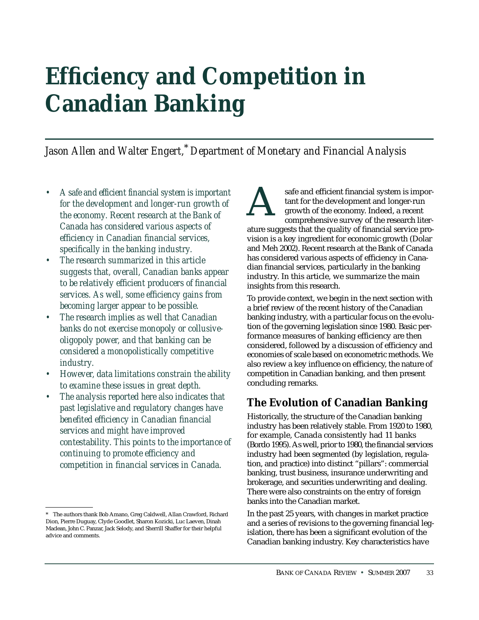# <span id="page-34-0"></span>**Efficiency and Competition in Canadian Banking**

*Jason Allen and Walter Engert,*\*  *Department of Monetary and Financial Analysis*

- *A safe and efficient financial system is important for the development and longer-run growth of the economy. Recent research at the Bank of Canada has considered various aspects of efficiency in Canadian financial services, specifically in the banking industry.*
- *The research summarized in this article suggests that, overall, Canadian banks appear to be relatively efficient producers of financial services. As well, some efficiency gains from becoming larger appear to be possible.*
- *The research implies as well that Canadian banks do not exercise monopoly or collusiveoligopoly power, and that banking can be considered a monopolistically competitive industry.*
- *However, data limitations constrain the ability to examine these issues in great depth.*
- *The analysis reported here also indicates that past legislative and regulatory changes have benefited efficiency in Canadian financial services and might have improved contestability. This points to the importance of continuing to promote efficiency and competition in financial services in Canada.*

safe and efficient financial system is important for the development and longer-run growth of the economy. Indeed, a recent comprehensive survey of the research literature suggests that the quality of financial service provision is a key ingredient for economic growth (Dolar and Meh 2002). Recent research at the Bank of Canada has considered various aspects of efficiency in Canadian financial services, particularly in the banking industry. In this article, we summarize the main insights from this research. A

To provide context, we begin in the next section with a brief review of the recent history of the Canadian banking industry, with a particular focus on the evolution of the governing legislation since 1980. Basic performance measures of banking efficiency are then considered, followed by a discussion of efficiency and economies of scale based on econometric methods. We also review a key influence on efficiency, the nature of competition in Canadian banking, and then present concluding remarks.

# **The Evolution of Canadian Banking**

Historically, the structure of the Canadian banking industry has been relatively stable. From 1920 to 1980, for example, Canada consistently had 11 banks (Bordo 1995). As well, prior to 1980, the financial services industry had been segmented (by legislation, regulation, and practice) into distinct "pillars": commercial banking, trust business, insurance underwriting and brokerage, and securities underwriting and dealing. There were also constraints on the entry of foreign banks into the Canadian market.

In the past 25 years, with changes in market practice and a series of revisions to the governing financial legislation, there has been a significant evolution of the Canadian banking industry. Key characteristics have

<sup>\*</sup> The authors thank Bob Amano, Greg Caldwell, Allan Crawford, Richard Dion, Pierre Duguay, Clyde Goodlet, Sharon Kozicki, Luc Laeven, Dinah Maclean, John C. Panzar, Jack Selody, and Sherrill Shaffer for their helpful advice and comments.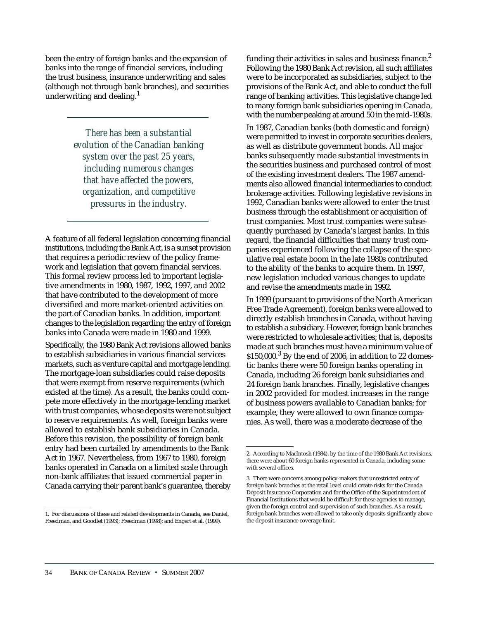been the entry of foreign banks and the expansion of banks into the range of financial services, including the trust business, insurance underwriting and sales (although not through bank branches), and securities underwriting and dealing. $<sup>1</sup>$ </sup>

> *There has been a substantial evolution of the Canadian banking system over the past 25 years, including numerous changes that have affected the powers, organization, and competitive pressures in the industry.*

A feature of all federal legislation concerning financial institutions, including the Bank Act, is a sunset provision that requires a periodic review of the policy framework and legislation that govern financial services. This formal review process led to important legislative amendments in 1980, 1987, 1992, 1997, and 2002 that have contributed to the development of more diversified and more market-oriented activities on the part of Canadian banks. In addition, important changes to the legislation regarding the entry of foreign banks into Canada were made in 1980 and 1999.

Specifically, the 1980 Bank Act revisions allowed banks to establish subsidiaries in various financial services markets, such as venture capital and mortgage lending. The mortgage-loan subsidiaries could raise deposits that were exempt from reserve requirements (which existed at the time). As a result, the banks could compete more effectively in the mortgage-lending market with trust companies, whose deposits were not subject to reserve requirements. As well, foreign banks were allowed to establish bank subsidiaries in Canada. Before this revision, the possibility of foreign bank entry had been curtailed by amendments to the Bank Act in 1967. Nevertheless, from 1967 to 1980, foreign banks operated in Canada on a limited scale through non-bank affiliates that issued commercial paper in Canada carrying their parent bank's guarantee, thereby

funding their activities in sales and business finance. $2$ Following the 1980 Bank Act revision, all such affiliates were to be incorporated as subsidiaries, subject to the provisions of the Bank Act, and able to conduct the full range of banking activities. This legislative change led to many foreign bank subsidiaries opening in Canada, with the number peaking at around 50 in the mid-1980s.

In 1987, Canadian banks (both domestic and foreign) were permitted to invest in corporate securities dealers, as well as distribute government bonds. All major banks subsequently made substantial investments in the securities business and purchased control of most of the existing investment dealers. The 1987 amendments also allowed financial intermediaries to conduct brokerage activities. Following legislative revisions in 1992, Canadian banks were allowed to enter the trust business through the establishment or acquisition of trust companies. Most trust companies were subsequently purchased by Canada's largest banks. In this regard, the financial difficulties that many trust companies experienced following the collapse of the speculative real estate boom in the late 1980s contributed to the ability of the banks to acquire them. In 1997, new legislation included various changes to update and revise the amendments made in 1992.

In 1999 (pursuant to provisions of the North American Free Trade Agreement), foreign banks were allowed to directly establish branches in Canada, without having to establish a subsidiary. However, foreign bank branches were restricted to wholesale activities; that is, deposits made at such branches must have a minimum value of  $$150,000.<sup>3</sup>$  By the end of 2006, in addition to 22 domestic banks there were 50 foreign banks operating in Canada, including 26 foreign bank subsidiaries and 24 foreign bank branches. Finally, legislative changes in 2002 provided for modest increases in the range of business powers available to Canadian banks; for example, they were allowed to own finance companies. As well, there was a moderate decrease of the

<sup>1.</sup> For discussions of these and related developments in Canada, see Daniel, Freedman, and Goodlet (1993); Freedman (1998); and Engert et al. (1999).

<sup>2.</sup> According to MacIntosh (1984), by the time of the 1980 Bank Act revisions, there were about 60 foreign banks represented in Canada, including some with several offices.

<sup>3.</sup> There were concerns among policy-makers that unrestricted entry of foreign bank branches at the retail level could create risks for the Canada Deposit Insurance Corporation and for the Office of the Superintendent of Financial Institutions that would be difficult for these agencies to manage, given the foreign control and supervision of such branches. As a result, foreign bank branches were allowed to take only deposits significantly above the deposit insurance coverage limit.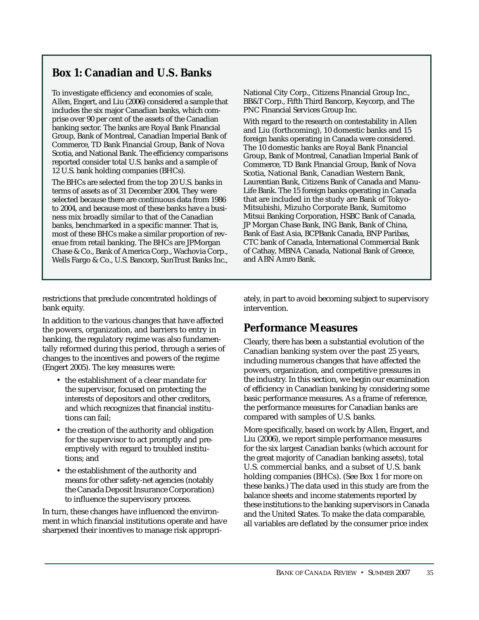# **Box 1: Canadian and U.S. Banks**

To investigate efficiency and economies of scale, Allen, Engert, and Liu (2006) considered a sample that includes the six major Canadian banks, which comprise over 90 per cent of the assets of the Canadian banking sector. The banks are Royal Bank Financial Group, Bank of Montreal, Canadian Imperial Bank of Commerce, TD Bank Financial Group, Bank of Nova Scotia, and National Bank. The efficiency comparisons reported consider total U.S. banks and a sample of 12 U.S. bank holding companies (BHCs).

The BHCs are selected from the top 20 U.S. banks in terms of assets as of 31 December 2004. They were selected because there are continuous data from 1986 to 2004, and because most of these banks have a business mix broadly similar to that of the Canadian banks, benchmarked in a specific manner. That is, most of these BHCs make a similar proportion of revenue from retail banking. The BHCs are JPMorgan Chase & Co., Bank of America Corp., Wachovia Corp., Wells Fargo & Co., U.S. Bancorp, SunTrust Banks Inc., National City Corp., Citizens Financial Group Inc., BB&T Corp., Fifth Third Bancorp, Keycorp, and The PNC Financial Services Group Inc.

With regard to the research on contestability in Allen and Liu (forthcoming), 10 domestic banks and 15 foreign banks operating in Canada were considered. The 10 domestic banks are Royal Bank Financial Group, Bank of Montreal, Canadian Imperial Bank of Commerce, TD Bank Financial Group, Bank of Nova Scotia, National Bank, Canadian Western Bank, Laurentian Bank, Citizens Bank of Canada and Manu-Life Bank. The 15 foreign banks operating in Canada that are included in the study are Bank of Tokyo-Mitsubishi, Mizuho Corporate Bank, Sumitomo Mitsui Banking Corporation, HSBC Bank of Canada, JP Morgan Chase Bank, ING Bank, Bank of China, Bank of East Asia, BCPBank Canada, BNP Paribas, CTC bank of Canada, International Commercial Bank of Cathay, MBNA Canada, National Bank of Greece, and ABN Amro Bank.

restrictions that preclude concentrated holdings of bank equity.

In addition to the various changes that have affected the powers, organization, and barriers to entry in banking, the regulatory regime was also fundamentally reformed during this period, through a series of changes to the incentives and powers of the regime (Engert 2005). The key measures were:

- the establishment of a clear mandate for the supervisor, focused on protecting the interests of depositors and other creditors, and which recognizes that financial institutions can fail;
- the creation of the authority and obligation for the supervisor to act promptly and preemptively with regard to troubled institutions; and
- the establishment of the authority and means for other safety-net agencies (notably the Canada Deposit Insurance Corporation) to influence the supervisory process.

In turn, these changes have influenced the environment in which financial institutions operate and have sharpened their incentives to manage risk appropriately, in part to avoid becoming subject to supervisory intervention.

# **Performance Measures**

Clearly, there has been a substantial evolution of the Canadian banking system over the past 25 years, including numerous changes that have affected the powers, organization, and competitive pressures in the industry. In this section, we begin our examination of efficiency in Canadian banking by considering some basic performance measures. As a frame of reference, the performance measures for Canadian banks are compared with samples of U.S. banks.

More specifically, based on work by Allen, Engert, and Liu (2006), we report simple performance measures for the six largest Canadian banks (which account for the great majority of Canadian banking assets), total U.S. commercial banks, and a subset of U.S. bank holding companies (BHCs). (See Box 1 for more on these banks.) The data used in this study are from the balance sheets and income statements reported by these institutions to the banking supervisors in Canada and the United States. To make the data comparable, all variables are deflated by the consumer price index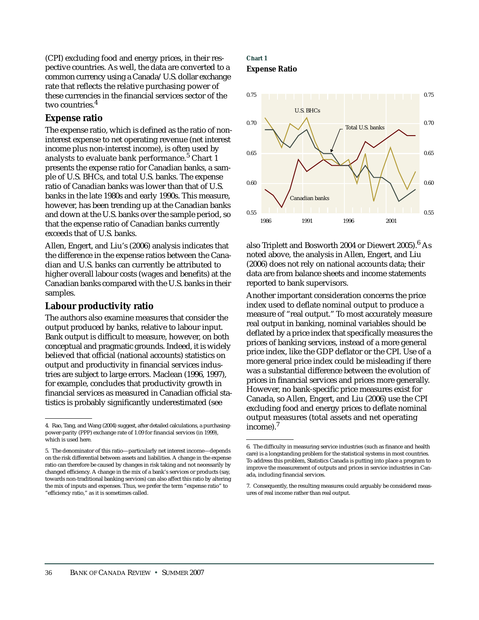(CPI) excluding food and energy prices, in their respective countries. As well, the data are converted to a common currency using a Canada/U.S. dollar exchange rate that reflects the relative purchasing power of these currencies in the financial services sector of the two countries.<sup>4</sup>

## **Expense ratio**

The expense ratio, which is defined as the ratio of noninterest expense to net operating revenue (net interest income plus non-interest income), is often used by analysts to evaluate bank performance.<sup>5</sup> Chart 1 presents the expense ratio for Canadian banks, a sample of U.S. BHCs, and total U.S. banks. The expense ratio of Canadian banks was lower than that of U.S. banks in the late 1980s and early 1990s. This measure, however, has been trending up at the Canadian banks and down at the U.S. banks over the sample period, so that the expense ratio of Canadian banks currently exceeds that of U.S. banks.

Allen, Engert, and Liu's (2006) analysis indicates that the difference in the expense ratios between the Canadian and U.S. banks can currently be attributed to higher overall labour costs (wages and benefits) at the Canadian banks compared with the U.S. banks in their samples.

## **Labour productivity ratio**

The authors also examine measures that consider the output produced by banks, relative to labour input. Bank output is difficult to measure, however, on both conceptual and pragmatic grounds. Indeed, it is widely believed that official (national accounts) statistics on output and productivity in financial services industries are subject to large errors. Maclean (1996, 1997), for example, concludes that productivity growth in financial services as measured in Canadian official statistics is probably significantly underestimated (see

## **Chart 1 Expense Ratio**



also Triplett and Bosworth 2004 or Diewert 2005).6 As noted above, the analysis in Allen, Engert, and Liu (2006) does not rely on national accounts data; their data are from balance sheets and income statements reported to bank supervisors.

Another important consideration concerns the price index used to deflate nominal output to produce a measure of "real output." To most accurately measure real output in banking, nominal variables should be deflated by a price index that specifically measures the prices of banking services, instead of a more general price index, like the GDP deflator or the CPI. Use of a more general price index could be misleading if there was a substantial difference between the evolution of prices in financial services and prices more generally. However, no bank-specific price measures exist for Canada, so Allen, Engert, and Liu (2006) use the CPI excluding food and energy prices to deflate nominal output measures (total assets and net operating income).7

<sup>4.</sup> Rao, Tang, and Wang (2004) suggest, after detailed calculations, a purchasingpower-parity (PPP) exchange rate of 1.09 for financial services (in 1999), which is used here.

<sup>5.</sup> The denominator of this ratio—particularly net interest income—depends on the risk differential between assets and liabilities. A change in the expense ratio can therefore be caused by changes in risk taking and not necessarily by changed efficiency. A change in the mix of a bank's services or products (say, towards non-traditional banking services) can also affect this ratio by altering the mix of inputs and expenses. Thus, we prefer the term "expense ratio" to "efficiency ratio," as it is sometimes called.

<sup>6.</sup> The difficulty in measuring service industries (such as finance and health care) is a longstanding problem for the statistical systems in most countries. To address this problem, Statistics Canada is putting into place a program to improve the measurement of outputs and prices in service industries in Canada, including financial services.

<sup>7.</sup> Consequently, the resulting measures could arguably be considered measures of real income rather than real output.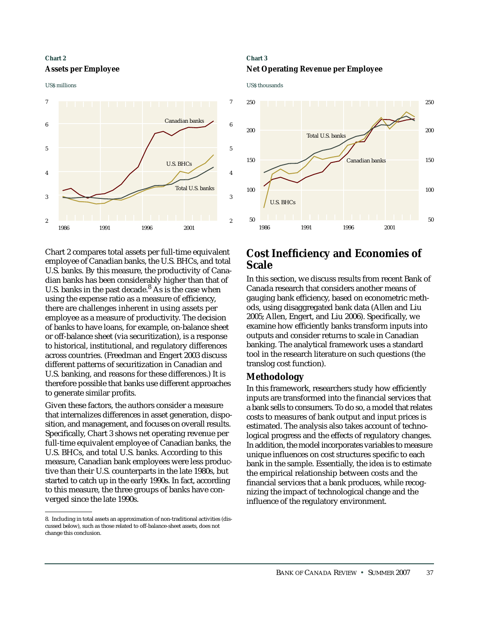## **Chart 2 Assets per Employee**

#### US\$ millions



Chart 2 compares total assets per full-time equivalent employee of Canadian banks, the U.S. BHCs, and total U.S. banks. By this measure, the productivity of Canadian banks has been considerably higher than that of U.S. banks in the past decade. $8$  As is the case when using the expense ratio as a measure of efficiency, there are challenges inherent in using assets per employee as a measure of productivity. The decision of banks to have loans, for example, on-balance sheet or off-balance sheet (via securitization), is a response to historical, institutional, and regulatory differences across countries. (Freedman and Engert 2003 discuss different patterns of securitization in Canadian and U.S. banking, and reasons for these differences.) It is therefore possible that banks use different approaches to generate similar profits.

Given these factors, the authors consider a measure that internalizes differences in asset generation, disposition, and management, and focuses on overall results. Specifically, Chart 3 shows net operating revenue per full-time equivalent employee of Canadian banks, the U.S. BHCs, and total U.S. banks. According to this measure, Canadian bank employees were less productive than their U.S. counterparts in the late 1980s, but started to catch up in the early 1990s. In fact, according to this measure, the three groups of banks have converged since the late 1990s.

## **Chart 3 Net Operating Revenue per Employee**

US\$ thousands



# **Cost Inefficiency and Economies of Scale**

In this section, we discuss results from recent Bank of Canada research that considers another means of gauging bank efficiency, based on econometric methods, using disaggregated bank data (Allen and Liu 2005; Allen, Engert, and Liu 2006). Specifically, we examine how efficiently banks transform inputs into outputs and consider returns to scale in Canadian banking. The analytical framework uses a standard tool in the research literature on such questions (the translog cost function).

## **Methodology**

In this framework, researchers study how efficiently inputs are transformed into the financial services that a bank sells to consumers. To do so, a model that relates costs to measures of bank output and input prices is estimated. The analysis also takes account of technological progress and the effects of regulatory changes. In addition, the model incorporates variables to measure unique influences on cost structures specific to each bank in the sample. Essentially, the idea is to estimate the empirical relationship between costs and the financial services that a bank produces, while recognizing the impact of technological change and the influence of the regulatory environment.

<sup>8.</sup> Including in total assets an approximation of non-traditional activities (discussed below), such as those related to off-balance-sheet assets, does not change this conclusion.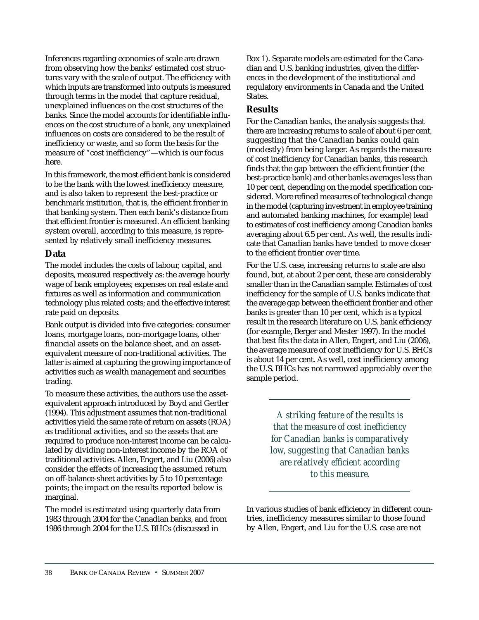Inferences regarding economies of scale are drawn from observing how the banks' estimated cost structures vary with the scale of output. The efficiency with which inputs are transformed into outputs is measured through terms in the model that capture residual, unexplained influences on the cost structures of the banks. Since the model accounts for identifiable influences on the cost structure of a bank, any unexplained influences on costs are considered to be the result of inefficiency or waste, and so form the basis for the measure of "cost inefficiency"—which is our focus here.

In this framework, the most efficient bank is considered to be the bank with the lowest inefficiency measure, and is also taken to represent the best-practice or benchmark institution, that is, the efficient frontier in that banking system. Then each bank's distance from that efficient frontier is measured. An efficient banking system overall, according to this measure, is represented by relatively small inefficiency measures.

# **Data**

The model includes the costs of labour, capital, and deposits, measured respectively as: the average hourly wage of bank employees; expenses on real estate and fixtures as well as information and communication technology plus related costs; and the effective interest rate paid on deposits.

Bank output is divided into five categories: consumer loans, mortgage loans, non-mortgage loans, other financial assets on the balance sheet, and an assetequivalent measure of non-traditional activities. The latter is aimed at capturing the growing importance of activities such as wealth management and securities trading.

To measure these activities, the authors use the assetequivalent approach introduced by Boyd and Gertler (1994). This adjustment assumes that non-traditional activities yield the same rate of return on assets (ROA) as traditional activities, and so the assets that are required to produce non-interest income can be calculated by dividing non-interest income by the ROA of traditional activities. Allen, Engert, and Liu (2006) also consider the effects of increasing the assumed return on off-balance-sheet activities by 5 to 10 percentage points; the impact on the results reported below is marginal.

The model is estimated using quarterly data from 1983 through 2004 for the Canadian banks, and from 1986 through 2004 for the U.S. BHCs (discussed in

Box 1). Separate models are estimated for the Canadian and U.S. banking industries, given the differences in the development of the institutional and regulatory environments in Canada and the United States.

# **Results**

For the Canadian banks, the analysis suggests that there are increasing returns to scale of about 6 per cent, suggesting that the Canadian banks could gain (modestly) from being larger. As regards the measure of cost inefficiency for Canadian banks, this research finds that the gap between the efficient frontier (the best-practice bank) and other banks averages less than 10 per cent, depending on the model specification considered. More refined measures of technological change in the model (capturing investment in employee training and automated banking machines, for example) lead to estimates of cost inefficiency among Canadian banks averaging about 6.5 per cent. As well, the results indicate that Canadian banks have tended to move closer to the efficient frontier over time.

For the U.S. case, increasing returns to scale are also found, but, at about 2 per cent, these are considerably smaller than in the Canadian sample. Estimates of cost inefficiency for the sample of U.S. banks indicate that the average gap between the efficient frontier and other banks is greater than 10 per cent, which is a typical result in the research literature on U.S. bank efficiency (for example, Berger and Mester 1997). In the model that best fits the data in Allen, Engert, and Liu (2006), the average measure of cost inefficiency for U.S. BHCs is about 14 per cent. As well, cost inefficiency among the U.S. BHCs has not narrowed appreciably over the sample period.

> *A striking feature of the results is that the measure of cost inefficiency for Canadian banks is comparatively low, suggesting that Canadian banks are relatively efficient according to this measure.*

In various studies of bank efficiency in different countries, inefficiency measures similar to those found by Allen, Engert, and Liu for the U.S. case are not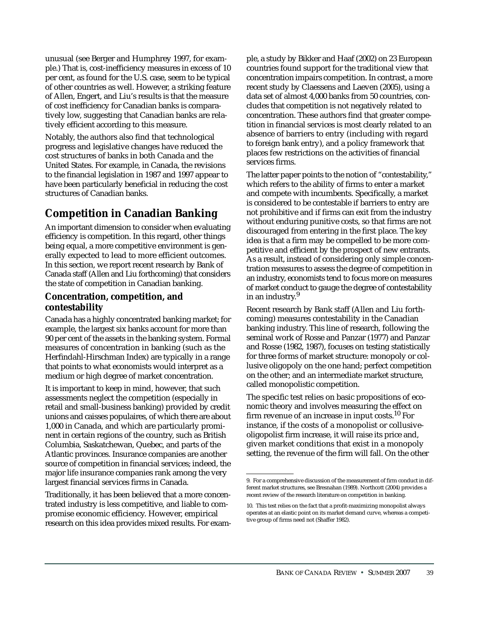unusual (see Berger and Humphrey 1997, for example.) That is, cost-inefficiency measures in excess of 10 per cent, as found for the U.S. case, seem to be typical of other countries as well. However, a striking feature of Allen, Engert, and Liu's results is that the measure of cost inefficiency for Canadian banks is comparatively low, suggesting that Canadian banks are relatively efficient according to this measure.

Notably, the authors also find that technological progress and legislative changes have reduced the cost structures of banks in both Canada and the United States. For example, in Canada, the revisions to the financial legislation in 1987 and 1997 appear to have been particularly beneficial in reducing the cost structures of Canadian banks.

# **Competition in Canadian Banking**

An important dimension to consider when evaluating efficiency is competition. In this regard, other things being equal, a more competitive environment is generally expected to lead to more efficient outcomes. In this section, we report recent research by Bank of Canada staff (Allen and Liu forthcoming) that considers the state of competition in Canadian banking.

# **Concentration, competition, and contestability**

Canada has a highly concentrated banking market; for example, the largest six banks account for more than 90 per cent of the assets in the banking system. Formal measures of concentration in banking (such as the Herfindahl-Hirschman Index) are typically in a range that points to what economists would interpret as a medium or high degree of market concentration.

It is important to keep in mind, however, that such assessments neglect the competition (especially in retail and small-business banking) provided by credit unions and caisses populaires, of which there are about 1,000 in Canada, and which are particularly prominent in certain regions of the country, such as British Columbia, Saskatchewan, Quebec, and parts of the Atlantic provinces. Insurance companies are another source of competition in financial services; indeed, the major life insurance companies rank among the very largest financial services firms in Canada.

Traditionally, it has been believed that a more concentrated industry is less competitive, and liable to compromise economic efficiency. However, empirical research on this idea provides mixed results. For example, a study by Bikker and Haaf (2002) on 23 European countries found support for the traditional view that concentration impairs competition. In contrast, a more recent study by Claessens and Laeven (2005), using a data set of almost 4,000 banks from 50 countries, concludes that competition is not negatively related to concentration. These authors find that greater competition in financial services is most clearly related to an absence of barriers to entry (including with regard to foreign bank entry), and a policy framework that places few restrictions on the activities of financial services firms.

The latter paper points to the notion of "contestability," which refers to the ability of firms to enter a market and compete with incumbents. Specifically, a market is considered to be contestable if barriers to entry are not prohibitive and if firms can exit from the industry without enduring punitive costs, so that firms are not discouraged from entering in the first place. The key idea is that a firm may be compelled to be more competitive and efficient by the prospect of new entrants. As a result, instead of considering only simple concentration measures to assess the degree of competition in an industry, economists tend to focus more on measures of market conduct to gauge the degree of contestability in an industry.<sup>9</sup>

Recent research by Bank staff (Allen and Liu forthcoming) measures contestability in the Canadian banking industry. This line of research, following the seminal work of Rosse and Panzar (1977) and Panzar and Rosse (1982, 1987), focuses on testing statistically for three forms of market structure: monopoly or collusive oligopoly on the one hand; perfect competition on the other; and an intermediate market structure, called monopolistic competition.

The specific test relies on basic propositions of economic theory and involves measuring the effect on firm revenue of an increase in input costs.<sup>10</sup> For instance, if the costs of a monopolist or collusiveoligopolist firm increase, it will raise its price and, given market conditions that exist in a monopoly setting, the revenue of the firm will fall. On the other

<sup>9.</sup> For a comprehensive discussion of the measurement of firm conduct in different market structures, see Bresnahan (1989). Northcott (2004) provides a recent review of the research literature on competition in banking.

<sup>10.</sup> This test relies on the fact that a profit-maximizing monopolist always operates at an elastic point on its market demand curve, whereas a competitive group of firms need not (Shaffer 1982).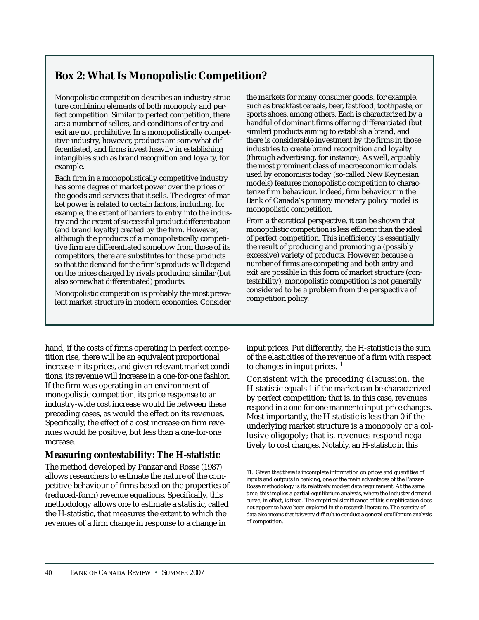# **Box 2: What Is Monopolistic Competition?**

Monopolistic competition describes an industry structure combining elements of both monopoly and perfect competition. Similar to perfect competition, there are a number of sellers, and conditions of entry and exit are not prohibitive. In a monopolistically competitive industry, however, products are somewhat differentiated, and firms invest heavily in establishing intangibles such as brand recognition and loyalty, for example.

Each firm in a monopolistically competitive industry has some degree of market power over the prices of the goods and services that it sells. The degree of market power is related to certain factors, including, for example, the extent of barriers to entry into the industry and the extent of successful product differentiation (and brand loyalty) created by the firm. However, although the products of a monopolistically competitive firm are differentiated somehow from those of its competitors, there are substitutes for those products so that the demand for the firm's products will depend on the prices charged by rivals producing similar (but also somewhat differentiated) products.

Monopolistic competition is probably the most prevalent market structure in modern economies. Consider the markets for many consumer goods, for example, such as breakfast cereals, beer, fast food, toothpaste, or sports shoes, among others. Each is characterized by a handful of dominant firms offering differentiated (but similar) products aiming to establish a brand, and there is considerable investment by the firms in those industries to create brand recognition and loyalty (through advertising, for instance). As well, arguably the most prominent class of macroeconomic models used by economists today (so-called New Keynesian models) features monopolistic competition to characterize firm behaviour. Indeed, firm behaviour in the Bank of Canada's primary monetary policy model is monopolistic competition.

From a theoretical perspective, it can be shown that monopolistic competition is less efficient than the ideal of perfect competition. This inefficiency is essentially the result of producing and promoting a (possibly excessive) variety of products. However, because a number of firms are competing and both entry and exit are possible in this form of market structure (contestability), monopolistic competition is not generally considered to be a problem from the perspective of competition policy.

hand, if the costs of firms operating in perfect competition rise, there will be an equivalent proportional increase in its prices, and given relevant market conditions, its revenue will increase in a one-for-one fashion. If the firm was operating in an environment of monopolistic competition, its price response to an industry-wide cost increase would lie between these preceding cases, as would the effect on its revenues. Specifically, the effect of a cost increase on firm revenues would be positive, but less than a one-for-one increase.

# **Measuring contestability: The H-statistic**

The method developed by Panzar and Rosse (1987) allows researchers to estimate the nature of the competitive behaviour of firms based on the properties of (reduced-form) revenue equations. Specifically, this methodology allows one to estimate a statistic, called the H-statistic, that measures the extent to which the revenues of a firm change in response to a change in

input prices. Put differently, the H-statistic is the sum of the elasticities of the revenue of a firm with respect to changes in input prices. $^{11}$ 

Consistent with the preceding discussion, the H-statistic equals 1 if the market can be characterized by perfect competition; that is, in this case, revenues respond in a one-for-one manner to input-price changes. Most importantly, the H-statistic is less than 0 if the underlying market structure is a monopoly or a collusive oligopoly; that is, revenues respond negatively to cost changes. Notably, an H-statistic in this

<sup>11.</sup> Given that there is incomplete information on prices and quantities of inputs and outputs in banking, one of the main advantages of the Panzar-Rosse methodology is its relatively modest data requirement. At the same time, this implies a partial-equilibrium analysis, where the industry demand curve, in effect, is fixed. The empirical significance of this simplification does not appear to have been explored in the research literature. The scarcity of data also means that it is very difficult to conduct a general-equilibrium analysis of competition.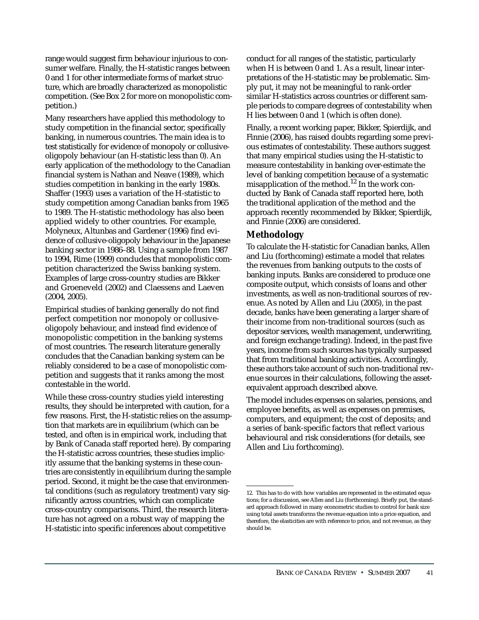range would suggest firm behaviour injurious to consumer welfare. Finally, the H-statistic ranges between 0 and 1 for other intermediate forms of market structure, which are broadly characterized as monopolistic competition. (See Box 2 for more on monopolistic competition.)

Many researchers have applied this methodology to study competition in the financial sector, specifically banking, in numerous countries. The main idea is to test statistically for evidence of monopoly or collusiveoligopoly behaviour (an H-statistic less than 0). An early application of the methodology to the Canadian financial system is Nathan and Neave (1989), which studies competition in banking in the early 1980s. Shaffer (1993) uses a variation of the H-statistic to study competition among Canadian banks from 1965 to 1989. The H-statistic methodology has also been applied widely to other countries. For example, Molyneux, Altunbas and Gardener (1996) find evidence of collusive-oligopoly behaviour in the Japanese banking sector in 1986–88. Using a sample from 1987 to 1994, Rime (1999) concludes that monopolistic competition characterized the Swiss banking system. Examples of large cross-country studies are Bikker and Groeneveld (2002) and Claessens and Laeven (2004, 2005).

Empirical studies of banking generally do not find perfect competition nor monopoly or collusiveoligopoly behaviour, and instead find evidence of monopolistic competition in the banking systems of most countries. The research literature generally concludes that the Canadian banking system can be reliably considered to be a case of monopolistic competition and suggests that it ranks among the most contestable in the world.

While these cross-country studies yield interesting results, they should be interpreted with caution, for a few reasons. First, the H-statistic relies on the assumption that markets are in equilibrium (which can be tested, and often is in empirical work, including that by Bank of Canada staff reported here). By comparing the H-statistic across countries, these studies implicitly assume that the banking systems in these countries are consistently in equilibrium during the sample period. Second, it might be the case that environmental conditions (such as regulatory treatment) vary significantly across countries, which can complicate cross-country comparisons. Third, the research literature has not agreed on a robust way of mapping the H-statistic into specific inferences about competitive

conduct for all ranges of the statistic, particularly when H is between 0 and 1. As a result, linear interpretations of the H-statistic may be problematic. Simply put, it may not be meaningful to rank-order similar H-statistics across countries or different sample periods to compare degrees of contestability when H lies between 0 and 1 (which is often done).

Finally, a recent working paper, Bikker, Spierdijk, and Finnie (2006), has raised doubts regarding some previous estimates of contestability. These authors suggest that many empirical studies using the H-statistic to measure contestability in banking over-estimate the level of banking competition because of a systematic misapplication of the method.12 In the work conducted by Bank of Canada staff reported here, both the traditional application of the method and the approach recently recommended by Bikker, Spierdijk, and Finnie (2006) are considered.

## **Methodology**

To calculate the H-statistic for Canadian banks, Allen and Liu (forthcoming) estimate a model that relates the revenues from banking outputs to the costs of banking inputs. Banks are considered to produce one composite output, which consists of loans and other investments, as well as non-traditional sources of revenue. As noted by Allen and Liu (2005), in the past decade, banks have been generating a larger share of their income from non-traditional sources (such as depositor services, wealth management, underwriting, and foreign exchange trading). Indeed, in the past five years, income from such sources has typically surpassed that from traditional banking activities. Accordingly, these authors take account of such non-traditional revenue sources in their calculations, following the assetequivalent approach described above.

The model includes expenses on salaries, pensions, and employee benefits, as well as expenses on premises, computers, and equipment; the cost of deposits; and a series of bank-specific factors that reflect various behavioural and risk considerations (for details, see Allen and Liu forthcoming).

<sup>12.</sup> This has to do with how variables are represented in the estimated equations; for a discussion, see Allen and Liu (forthcoming). Briefly put, the standard approach followed in many econometric studies to control for bank size using total assets transforms the revenue equation into a price equation, and therefore, the elasticities are with reference to price, and not revenue, as they should be.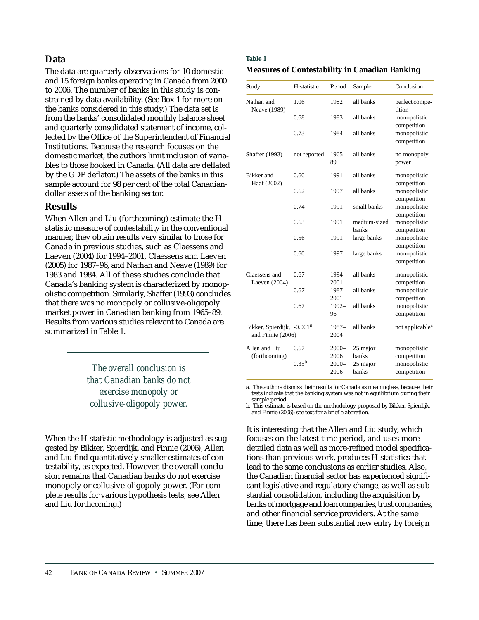## **Data**

The data are quarterly observations for 10 domestic and 15 foreign banks operating in Canada from 2000 to 2006. The number of banks in this study is constrained by data availability. (See Box 1 for more on the banks considered in this study.) The data set is from the banks' consolidated monthly balance sheet and quarterly consolidated statement of income, collected by the Office of the Superintendent of Financial Institutions. Because the research focuses on the domestic market, the authors limit inclusion of variables to those booked in Canada. (All data are deflated by the GDP deflator.) The assets of the banks in this sample account for 98 per cent of the total Canadiandollar assets of the banking sector.

## **Results**

When Allen and Liu (forthcoming) estimate the Hstatistic measure of contestability in the conventional manner, they obtain results very similar to those for Canada in previous studies, such as Claessens and Laeven (2004) for 1994–2001, Claessens and Laeven (2005) for 1987–96, and Nathan and Neave (1989) for 1983 and 1984. All of these studies conclude that Canada's banking system is characterized by monopolistic competition. Similarly, Shaffer (1993) concludes that there was no monopoly or collusive-oligopoly market power in Canadian banking from 1965–89. Results from various studies relevant to Canada are summarized in Table 1.

> *The overall conclusion is that Canadian banks do not exercise monopoly or collusive-oligopoly power.*

When the H-statistic methodology is adjusted as suggested by Bikker, Spierdijk, and Finnie (2006), Allen and Liu find quantitatively smaller estimates of contestability, as expected. However, the overall conclusion remains that Canadian banks do not exercise monopoly or collusive-oligopoly power. (For complete results for various hypothesis tests, see Allen and Liu forthcoming.)

# **Table 1 Measures of Contestability in Canadian Banking**

| Study                                                       | H-statistic  | Period           | Sample                | Conclusion                  |
|-------------------------------------------------------------|--------------|------------------|-----------------------|-----------------------------|
| Nathan and<br>Neave (1989)                                  | 1.06         | 1982             | all banks             | perfect compe-<br>tition    |
|                                                             | 0.68         | 1983             | all banks             | monopolistic<br>competition |
|                                                             | 0.73         | 1984             | all banks             | monopolistic<br>competition |
| <b>Shaffer</b> (1993)                                       | not reported | $1965-$<br>89    | all banks             | no monopoly<br>power        |
| <b>Bikker</b> and<br>Haaf (2002)                            | 0.60         | 1991             | all banks             | monopolistic<br>competition |
|                                                             | 0.62         | 1997             | all banks             | monopolistic<br>competition |
|                                                             | 0.74         | 1991             | small banks           | monopolistic<br>competition |
|                                                             | 0.63         | 1991             | medium-sized<br>banks | monopolistic<br>competition |
|                                                             | 0.56         | 1991             | large banks           | monopolistic<br>competition |
|                                                             | 0.60         | 1997             | large banks           | monopolistic<br>competition |
| Claessens and<br>Laeven (2004)                              | 0.67         | 1994-<br>2001    | all banks             | monopolistic<br>competition |
|                                                             | 0.67         | 1987-<br>2001    | all banks             | monopolistic<br>competition |
|                                                             | 0.67         | 1992-<br>96      | all banks             | monopolistic<br>competition |
| Bikker, Spierdijk, -0.001 <sup>a</sup><br>and Finnie (2006) |              | 1987–<br>2004    | all banks             | not applicable <sup>a</sup> |
| Allen and Liu<br>(forthcoming)                              | 0.67         | $2000 -$<br>2006 | 25 major<br>banks     | monopolistic<br>competition |
|                                                             | $0.35^{b}$   | $2000 -$<br>2006 | 25 major<br>banks     | monopolistic<br>competition |

a. The authors dismiss their results for Canada as meaningless, because their tests indicate that the banking system was not in equilibrium during their sample period.

b. This estimate is based on the methodology proposed by Bikker, Spierdijk, and Finnie (2006); see text for a brief elaboration.

It is interesting that the Allen and Liu study, which focuses on the latest time period, and uses more detailed data as well as more-refined model specifications than previous work, produces H-statistics that lead to the same conclusions as earlier studies. Also, the Canadian financial sector has experienced significant legislative and regulatory change, as well as substantial consolidation, including the acquisition by banks of mortgage and loan companies, trust companies, and other financial service providers. At the same time, there has been substantial new entry by foreign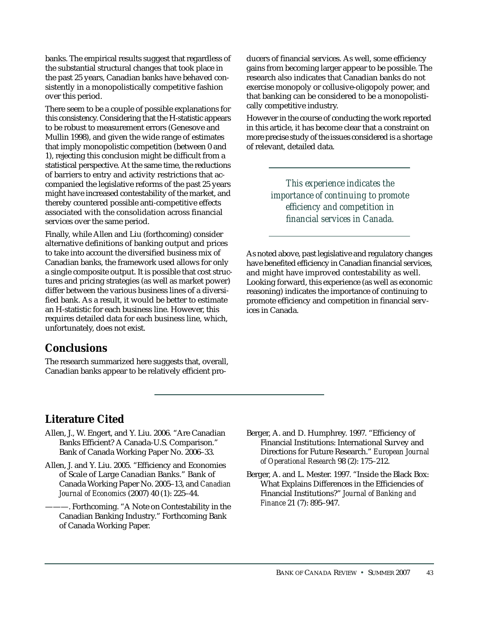banks. The empirical results suggest that regardless of the substantial structural changes that took place in the past 25 years, Canadian banks have behaved consistently in a monopolistically competitive fashion over this period.

There seem to be a couple of possible explanations for this consistency. Considering that the H-statistic appears to be robust to measurement errors (Genesove and Mullin 1998), and given the wide range of estimates that imply monopolistic competition (between 0 and 1), rejecting this conclusion might be difficult from a statistical perspective. At the same time, the reductions of barriers to entry and activity restrictions that accompanied the legislative reforms of the past 25 years might have increased contestability of the market, and thereby countered possible anti-competitive effects associated with the consolidation across financial services over the same period.

Finally, while Allen and Liu (forthcoming) consider alternative definitions of banking output and prices to take into account the diversified business mix of Canadian banks, the framework used allows for only a single composite output. It is possible that cost structures and pricing strategies (as well as market power) differ between the various business lines of a diversified bank. As a result, it would be better to estimate an H-statistic for each business line. However, this requires detailed data for each business line, which, unfortunately, does not exist.

# **Conclusions**

The research summarized here suggests that, overall, Canadian banks appear to be relatively efficient producers of financial services. As well, some efficiency gains from becoming larger appear to be possible. The research also indicates that Canadian banks do not exercise monopoly or collusive-oligopoly power, and that banking can be considered to be a monopolistically competitive industry.

However in the course of conducting the work reported in this article, it has become clear that a constraint on more precise study of the issues considered is a shortage of relevant, detailed data.

> *This experience indicates the importance of continuing to promote efficiency and competition in financial services in Canada.*

As noted above, past legislative and regulatory changes have benefited efficiency in Canadian financial services, and might have improved contestability as well. Looking forward, this experience (as well as economic reasoning) indicates the importance of continuing to promote efficiency and competition in financial services in Canada.

- **Literature Cited**
- Allen, J., W. Engert, and Y. Liu. 2006. "Are Canadian Banks Efficient? A Canada-U.S. Comparison." Bank of Canada Working Paper No. 2006–33.
- Allen, J. and Y. Liu. 2005. "Efficiency and Economies of Scale of Large Canadian Banks." Bank of Canada Working Paper No. 2005–13, and *Canadian Journal of Economics* (2007) 40 (1): 225–44.
	- -. Forthcoming. "A Note on Contestability in the Canadian Banking Industry." Forthcoming Bank of Canada Working Paper.
- Berger, A. and D. Humphrey. 1997. "Efficiency of Financial Institutions: International Survey and Directions for Future Research." *European Journal of Operational Research* 98 (2): 175–212.
- Berger, A. and L. Mester. 1997. "Inside the Black Box: What Explains Differences in the Efficiencies of Financial Institutions?" *Journal of Banking and Finance* 21 (7): 895–947.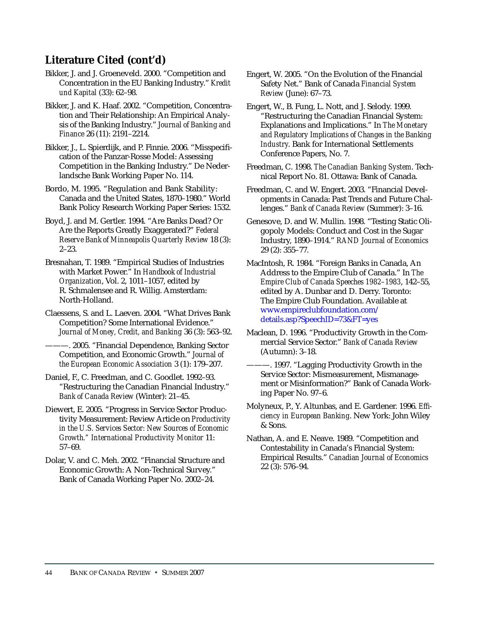# **Literature Cited (cont'd)**

- Bikker, J. and J. Groeneveld. 2000. "Competition and Concentration in the EU Banking Industry." *Kredit und Kapital* (33): 62–98.
- Bikker, J. and K. Haaf. 2002. "Competition, Concentration and Their Relationship: An Empirical Analysis of the Banking Industry." *Journal of Banking and Finance* 26 (11): 2191–2214.
- Bikker, J., L. Spierdijk, and P. Finnie. 2006. "Misspecification of the Panzar-Rosse Model: Assessing Competition in the Banking Industry." De Nederlandsche Bank Working Paper No. 114.
- Bordo, M. 1995. "Regulation and Bank Stability: Canada and the United States, 1870–1980." World Bank Policy Research Working Paper Series: 1532.
- Boyd, J. and M. Gertler. 1994. "Are Banks Dead? Or Are the Reports Greatly Exaggerated?" *Federal Reserve Bank of Minneapolis Quarterly Review* 18 (3): 2–23.
- Bresnahan, T. 1989. "Empirical Studies of Industries with Market Power." In *Handbook of Industrial Organization*, Vol. 2, 1011–1057, edited by R. Schmalensee and R. Willig. Amsterdam: North-Holland.
- Claessens, S. and L. Laeven. 2004. "What Drives Bank Competition? Some International Evidence." *Journal of Money, Credit, and Banking* 36 (3): 563–92.
	- -. 2005. "Financial Dependence, Banking Sector Competition, and Economic Growth." *Journal of the European Economic Association* 3 (1): 179–207.
- Daniel, F., C. Freedman, and C. Goodlet. 1992–93. "Restructuring the Canadian Financial Industry." *Bank of Canada Review* (Winter): 21–45.
- Diewert, E. 2005. "Progress in Service Sector Productivity Measurement: Review Article on *Productivity in the U.S. Services Sector: New Sources of Economic Growth." International Productivity Monitor* 11: 57–69.
- Dolar, V. and C. Meh. 2002. "Financial Structure and Economic Growth: A Non-Technical Survey." Bank of Canada Working Paper No. 2002–24.
- Engert, W. 2005. "On the Evolution of the Financial Safety Net." Bank of Canada *Financial System Review* (June): 67–73.
- Engert, W., B. Fung, L. Nott, and J. Selody. 1999. "Restructuring the Canadian Financial System: Explanations and Implications." In *The Monetary and Regulatory Implications of Changes in the Banking Industry*. Bank for International Settlements Conference Papers, No. 7.
- Freedman, C. 1998. *The Canadian Banking System*. Technical Report No. 81. Ottawa: Bank of Canada.
- Freedman, C. and W. Engert. 2003. "Financial Developments in Canada: Past Trends and Future Challenges." *Bank of Canada Review* (Summer): 3–16.
- Genesove, D. and W. Mullin. 1998. "Testing Static Oligopoly Models: Conduct and Cost in the Sugar Industry, 1890–1914." *RAND Journal of Economics* 29 (2): 355–77.
- MacIntosh, R. 1984. "Foreign Banks in Canada, An Address to the Empire Club of Canada." In *The Empire Club of Canada Speeches 1982–1983*, 142–55, edited by A. Dunbar and D. Derry. Toronto: The Empire Club Foundation. Available at [www.empireclubfoundation.com/](http://www.empireclubfoundation.com/details.asp?SpeechID=73&FT=yes) details.asp?SpeechID=73&FT=yes
- Maclean, D. 1996. "Productivity Growth in the Commercial Service Sector." *Bank of Canada Review* (Autumn): 3–18.
- ———. 1997. "Lagging Productivity Growth in the Service Sector: Mismeasurement, Mismanagement or Misinformation?" Bank of Canada Working Paper No. 97–6.
- Molyneux, P., Y. Altunbas, and E. Gardener. 1996. *Efficiency in European Banking*. New York: John Wiley & Sons.
- Nathan, A. and E. Neave. 1989. "Competition and Contestability in Canada's Financial System: Empirical Results." *Canadian Journal of Economics* 22 (3): 576–94.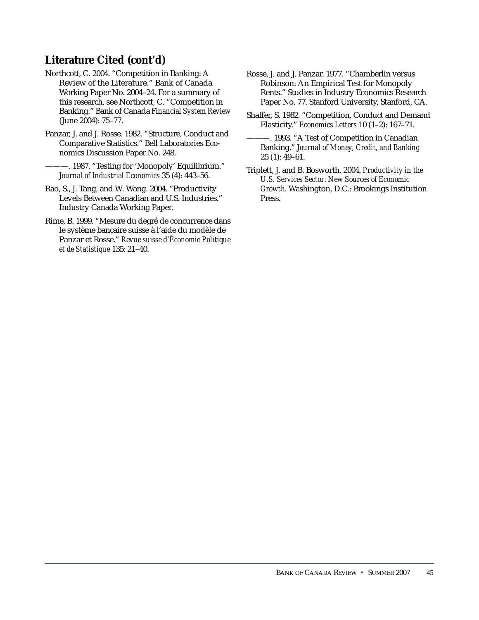# **Literature Cited (cont'd)**

- Northcott, C. 2004. "Competition in Banking: A Review of the Literature." Bank of Canada Working Paper No. 2004–24. For a summary of this research, see Northcott, C. "Competition in Banking." Bank of Canada *Financial System Review* (June 2004): 75–77.
- Panzar, J. and J. Rosse. 1982. "Structure, Conduct and Comparative Statistics." Bell Laboratories Economics Discussion Paper No. 248.
	- -. 1987. "Testing for 'Monopoly' Equilibrium." *Journal of Industrial Economics* 35 (4): 443–56.
- Rao, S., J. Tang, and W. Wang. 2004. "Productivity Levels Between Canadian and U.S. Industries." Industry Canada Working Paper.
- Rime, B. 1999. "Mesure du degré de concurrence dans le système bancaire suisse à l'aide du modèle de Panzar et Rosse." *Revue suisse d'Économie Politique et de Statistique* 135: 21–40.
- Rosse, J. and J. Panzar. 1977. "Chamberlin versus Robinson: An Empirical Test for Monopoly Rents." Studies in Industry Economics Research Paper No. 77. Stanford University, Stanford, CA.
- Shaffer, S. 1982. "Competition, Conduct and Demand Elasticity." *Economics Letters* 10 (1–2): 167–71.
- ———. 1993. "A Test of Competition in Canadian Banking." *Journal of Money, Credit, and Banking* 25 (1): 49–61.
- Triplett, J. and B. Bosworth. 2004. *Productivity in the U.S. Services Sector: New Sources of Economic Growth*. Washington, D.C.: Brookings Institution Press.